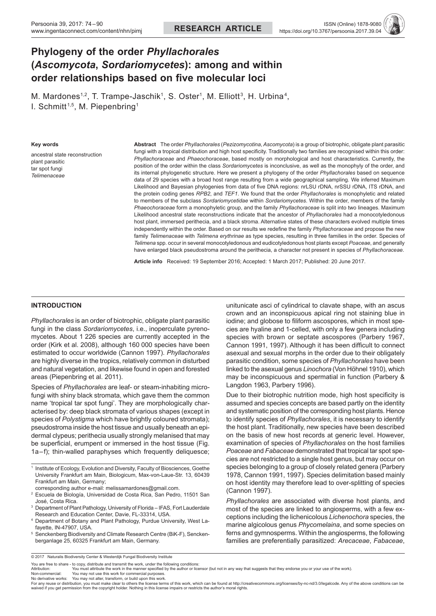# **Phylogeny of the order** *Phyllachorales* **(***Ascomycota***,** *Sordariomycetes***): among and within order relationships based on five molecular loci**

M. Mardones<sup>1,2</sup>, T. Trampe-Jaschik<sup>1</sup>, S. Oster<sup>1</sup>, M. Elliott<sup>3</sup>, H. Urbina<sup>4</sup>, I. Schmitt<sup>1,5</sup>, M. Piepenbring<sup>1</sup>

#### **Key words**

ancestral state reconstruction plant parasitic tar spot fungi *Telimenaceae*

**Abstract** The order *Phyllachorales* (*Pezizomycotina*, *Ascomycota*) is a group of biotrophic, obligate plant parasitic fungi with a tropical distribution and high host specificity. Traditionally two families are recognised within this order: *Phyllachoraceae* and *Phaeochoraceae*, based mostly on morphological and host characteristics. Currently, the position of the order within the class *Sordariomycetes* is inconclusive, as well as the monophyly of the order, and its internal phylogenetic structure. Here we present a phylogeny of the order *Phyllachorales* based on sequence data of 29 species with a broad host range resulting from a wide geographical sampling. We inferred Maximum Likelihood and Bayesian phylogenies from data of five DNA regions: nrLSU rDNA, nrSSU rDNA, ITS rDNA, and the protein coding genes *RPB2*, and *TEF1*. We found that the order *Phyllachorales* is monophyletic and related to members of the subclass *Sordariomycetidae* within *Sordariomycetes*. Within the order, members of the family *Phaeochoraceae* form a monophyletic group, and the family *Phyllachoraceae* is split into two lineages. Maximum Likelihood ancestral state reconstructions indicate that the ancestor of *Phyllachorales* had a monocotyledonous host plant, immersed perithecia, and a black stroma. Alternative states of these characters evolved multiple times independently within the order. Based on our results we redefine the family *Phyllachoraceae* and propose the new family *Telimenaceae* with *Telimena erythrinae* as type species, resulting in three families in the order. Species of *Telimena* spp. occur in several monocotyledonous and eudicotyledonous host plants except *Poaceae*, and generally have enlarged black pseudostroma around the perithecia, a character not present in species of *Phyllachoraceae*.

**Article info** Received: 19 September 2016; Accepted: 1 March 2017; Published: 20 June 2017.

# **INTRODUCTION**

*Phyllachorales* is an order of biotrophic, obligate plant parasitic fungi in the class *Sordariomycetes*, i.e., inoperculate pyrenomycetes. About 1 226 species are currently accepted in the order (Kirk et al. 2008), although 160 000 species have been estimated to occur worldwide (Cannon 1997). *Phyllachorales* are highly diverse in the tropics, relatively common in disturbed and natural vegetation, and likewise found in open and forested areas (Piepenbring et al. 2011).

Species of *Phyllachorales* are leaf- or steam-inhabiting microfungi with shiny black stromata, which gave them the common name 'tropical tar spot fungi'. They are morphologically characterised by: deep black stromata of various shapes (except in species of *Polystigma* which have brightly coloured stromata); pseudostroma inside the host tissue and usually beneath an epidermal clypeus; perithecia usually strongly melanised that may be superficial, erumpent or immersed in the host tissue (Fig. 1a–f); thin-walled paraphyses which frequently deliquesce;

<sup>1</sup> Institute of Ecology, Evolution and Diversity, Faculty of Biosciences, Goethe University Frankfurt am Main, Biologicum, Max-von-Laue-Str. 13, 60439 Frankfurt am Main, Germany;

- corresponding author e-mail: melissamardones@gmail.com.
- <sup>2</sup> Escuela de Biología, Universidad de Costa Rica, San Pedro, 11501 San José, Costa Rica.
- <sup>3</sup> Department of Plant Pathology, University of Florida IFAS, Fort Lauderdale Research and Education Center, Davie, FL-33314, USA.
- <sup>4</sup> Department of Botany and Plant Pathology, Purdue University, West Lafayette, IN-47907, USA.
- <sup>5</sup> Senckenberg Biodiversity and Climate Research Centre (BiK-F), Senckenberganlage 25, 60325 Frankfurt am Main, Germany.

unitunicate asci of cylindrical to clavate shape, with an ascus crown and an inconspicuous apical ring not staining blue in iodine; and globose to filiform ascospores, which in most species are hyaline and 1-celled, with only a few genera including species with brown or septate ascospores (Parbery 1967, Cannon 1991, 1997). Although it has been difficult to connect asexual and sexual morphs in the order due to their obligately parasitic condition, some species of *Phyllachorales* have been linked to the asexual genus *Linochora* (Von Höhnel 1910), which may be inconspicuous and spermatial in function (Parbery & Langdon 1963, Parbery 1996).

Due to their biotrophic nutrition mode, high host specificity is assumed and species concepts are based partly on the identity and systematic position of the corresponding host plants. Hence to identify species of *Phyllachorales*, it is necessary to identify the host plant. Traditionally, new species have been described on the basis of new host records at generic level. However, examination of species of *Phyllachorales* on the host families *Poaceae* and *Fabaceae* demonstrated that tropical tar spot species are not restricted to a single host genus, but may occur on species belonging to a group of closely related genera (Parbery 1978, Cannon 1991, 1997). Species delimitation based mainly on host identity may therefore lead to over-splitting of species (Cannon 1997).

*Phyllachorales* are associated with diverse host plants, and most of the species are linked to angiosperms, with a few exceptions including the lichenicolous *Lichenochora* species, the marine algicolous genus *Phycomelaina*, and some species on ferns and gymnosperms. Within the angiosperms, the following families are preferentially parasitized: *Arecaceae*, *Fabaceae*,

© 2017 Naturalis Biodiversity Center & Westerdijk Fungal Biodiversity Institute

You are free to share - to copy, distribute and transmit the work, under the following conditions<br>Attribution: You must attribute the work in the manner specified by the author or lice

Non-commercial: You may not use this work for commercial purposes.<br>No derivative works: You may not alter, transform, or build upon this work.<br>For any reuse or distribution, you must make clear to others the tlicense ter waived if you get permission from the copyright holder. Nothing in this license impairs or restricts the author's moral rights.

You must attribute the work in the manner specified by the author or licensor (but not in any way that suggests that they endorse you or your use of the work).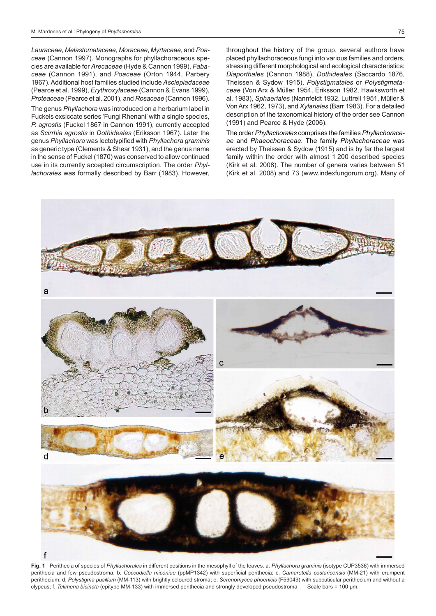*Lauraceae*, *Melastomataceae*, *Moraceae*, *Myrtaceae*, and *Poaceae* (Cannon 1997). Monographs for phyllachoraceous species are available for *Arecaceae* (Hyde & Cannon 1999), *Fabaceae* (Cannon 1991), and *Poaceae* (Orton 1944, Parbery 1967). Additional host families studied include *Asclepiadaceae* (Pearce et al. 1999), *Erythroxylaceae* (Cannon & Evans 1999), *Proteaceae* (Pearce et al. 2001), and *Rosaceae* (Cannon 1996).

The genus *Phyllachora* was introduced on a herbarium label in Fuckels exsiccate series 'Fungi Rhenani' with a single species, *P. agrostis* (Fuckel 1867 in Cannon 1991), currently accepted as *Scirrhia agrostis* in *Dothideales* (Eriksson 1967). Later the genus *Phyllachora* was lectotypified with *Phyllachora graminis* as generic type (Clements & Shear 1931), and the genus name in the sense of Fuckel (1870) was conserved to allow continued use in its currently accepted circumscription. The order *Phyllachorales* was formally described by Barr (1983). However, throughout the history of the group, several authors have placed phyllachoraceous fungi into various families and orders, stressing different morphological and ecological characteristics: *Diaporthales* (Cannon 1988), *Dothideales* (Saccardo 1876, Theissen & Sydow 1915), *Polystigmatales* or *Polystigmataceae* (Von Arx & Müller 1954, Eriksson 1982, Hawksworth et al. 1983), *Sphaeriales* (Nannfeldt 1932, Luttrell 1951, Müller & Von Arx 1962, 1973), and *Xylariales* (Barr 1983). For a detailed description of the taxonomical history of the order see Cannon (1991) and Pearce & Hyde (2006).

The order *Phyllachorales* comprises the families *Phyllachoraceae* and *Phaeochoraceae.* The family *Phyllachoraceae* was erected by Theissen & Sydow (1915) and is by far the largest family within the order with almost 1 200 described species (Kirk et al. 2008). The number of genera varies between 51 (Kirk et al. 2008) and 73 (www.indexfungorum.org). Many of



**Fig. 1** Perithecia of species of *Phyllachorales* in different positions in the mesophyll of the leaves. a. *Phyllachora graminis* (isotype CUP3536) with immersed perithecia and few pseudostroma; b. *Coccodiella miconiae* (ppMP1342) with superficial perithecia; c. *Camarotella costaricensis* (MM-21) with erumpent perithecium; d. *Polystigma pusillum* (MM-113) with brightly coloured stroma; e. *Serenomyces phoenicis* (F59049) with subcuticular perithecium and without a clypeus; f. *Telimena bicincta* (epitype MM-133) with immersed perithecia and strongly developed pseudostroma. — Scale bars = 100 µm.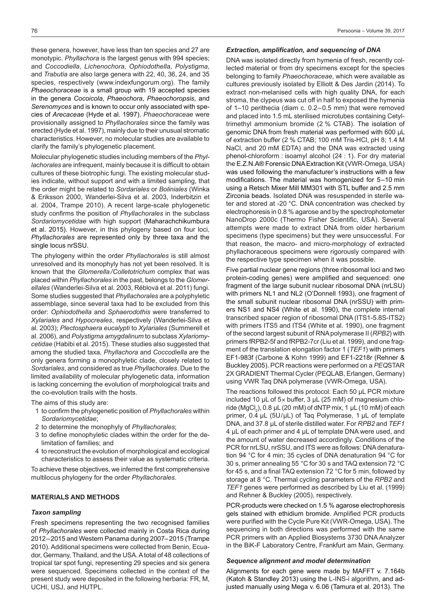these genera, however, have less than ten species and 27 are monotypic. *Phyllachora* is the largest genus with 994 species; and *Coccodiella*, *Lichenochora*, *Ophiodothella*, *Polystigma*, and *Trabutia* are also large genera with 22, 40, 36, 24, and 35 species, respectively (www.indexfungorum.org). The family *Phaeochoraceae* is a small group with 19 accepted species in the genera *Cocoicola*, *Phaeochora*, *Phaeochoropsis*, and *Serenomyces* and is known to occur only associated with species of *Arecaceae* (Hyde et al. 1997). *Phaeochoraceae* were provisionally assigned to *Phyllachorales* since the family was erected (Hyde et al. 1997), mainly due to their unusual stromatic characteristics. However, no molecular studies are available to clarify the family's phylogenetic placement.

Molecular phylogenetic studies including members of the *Phyllachorales* are infrequent, mainly because it is difficult to obtain cultures of these biotrophic fungi. The existing molecular studies indicate, without support and with a limited sampling, that the order might be related to *Sordariales* or *Boliniales* (Winka & Eriksson 2000, Wanderlei-Silva et al. 2003, Inderbitzin et al. 2004, Trampe 2010). A recent large-scale phylogenetic study confirms the position of *Phyllachorales* in the subclass *Sordariomycetidae* with high support (Maharachchikumbura et al. 2015). However, in this phylogeny based on four loci, *Phyllachorales* are represented only by three taxa and the single locus nrSSU.

The phylogeny within the order *Phyllachorales* is still almost unresolved and its monophyly has not yet been resolved. It is known that the *Glomerella /Colletotrichum* complex that was placed within *Phyllachorales* in the past, belongs to the *Glomerellales* (Wanderlei-Silva et al. 2003, Réblová et al. 2011) fungi. Some studies suggested that *Phyllachorales* are a polyphyletic assemblage, since several taxa had to be excluded from this order: *Ophiodothella* and *Sphaerodothis* were transferred to *Xylariales* and *Hypocreales*, respectively (Wanderlei-Silva et al. 2003); *Plectosphaera eucalypti* to *Xylariales* (Summerell et al. 2006), and *Polystigma amygdalinum* to subclass *Xylariomycetidae* (Habibi et al. 2015). These studies also suggested that among the studied taxa, *Phyllachora* and *Coccodiella* are the only genera forming a monophyletic clade, closely related to *Sordariales*, and considered as true *Phyllachorales*. Due to the limited availability of molecular phylogenetic data, information is lacking concerning the evolution of morphological traits and the co-evolution trails with the hosts.

The aims of this study are:

- 1 to confirm the phylogenetic position of *Phyllachorales* within *Sordariomycetidae*;
- 2 to determine the monophyly of *Phyllachorales*;
- 3 to define monophyletic clades within the order for the delimitation of families; and
- 4 to reconstruct the evolution of morphological and ecological characteristics to assess their value as systematic criteria.

To achieve these objectives, we inferred the first comprehensive multilocus phylogeny for the order *Phyllachorales*.

# **MATERIALS AND METHODS**

## *Taxon sampling*

Fresh specimens representing the two recognised families of *Phyllachorales* were collected mainly in Costa Rica during 2012–2015 and Western Panama during 2007–2015 (Trampe 2010). Additional specimens were collected from Benin, Ecuador, Germany, Thailand, and the USA. A total of 48 collections of tropical tar spot fungi, representing 29 species and six genera were sequenced. Specimens collected in the context of the present study were deposited in the following herbaria: FR, M, UCHI, USJ, and HUTPL.

#### *Extraction, amplification, and sequencing of DNA*

DNA was isolated directly from hymenia of fresh, recently collected material or from dry specimens except for the species belonging to family *Phaeochoraceae*, which were available as cultures previously isolated by Elliott & Des Jardin (2014). To extract non-melanised cells with high quality DNA, for each stroma, the clypeus was cut off in half to exposed the hymenia of 1–10 perithecia (diam c. 0.2–0.5 mm) that were removed and placed into 1.5 mL sterilised microtubes containing Cetyltrimethyl ammonium bromide (2 % CTAB). The isolation of genomic DNA from fresh material was performed with 600 μL of extraction buffer (2 % CTAB; 100 mM Tris-HCl, pH 8; 1.4 M NaCl, and 20 mM EDTA) and the DNA was extracted using phenol-chloroform : isoamyl alcohol (24 : 1). For dry material the E.Z.N.A® Forensic DNA Extraction Kit (VWR-Omega, USA) was used following the manufacturer's instructions with a few modifications. The material was homogenized for 5–10 min using a Retsch Mixer Mill MM301 with STL buffer and 2.5 mm Zirconia beads. Isolated DNA was resuspended in sterile water and stored at -20 °C. DNA concentration was checked by electrophoresis in 0.8 % agarose and by the spectrophotometer NanoDrop 2000c (Thermo Fisher Scientific, USA). Several attempts were made to extract DNA from older herbarium specimens (type specimens) but they were unsuccessful. For that reason, the macro- and micro-morphology of extracted phyllachoraceous specimens were rigorously compared with the respective type specimen when it was possible.

Five partial nuclear gene regions (three ribosomal loci and two protein-coding genes) were amplified and sequenced: one fragment of the large subunit nuclear ribosomal DNA (nrLSU) with primers NL1 and NL2 (O'Donnell 1993), one fragment of the small subunit nuclear ribosomal DNA (nrSSU) with primers NS1 and NS4 (White et al. 1990), the complete internal transcribed spacer region of ribosomal DNA (ITS1-5.8S-ITS2) with primers ITS5 and ITS4 (White et al. 1990), one fragment of the second largest subunit of RNA polymerase II (*RPB2*) with primers fRPB2-5f and fRPB2-7cr (Liu et al. 1999), and one fragment of the translation elongation factor 1 (*TEF1*) with primers EF1-983f (Carbone & Kohn 1999) and EF1-2218r (Rehner & Buckley 2005). PCR reactions were performed on a *PEQ*STAR 2X GRADIENT Thermal Cycler (PEQLAB, Erlangen, Germany) using VWR Taq DNA polymerase (VWR-Omega, USA).

The reactions followed this protocol: Each 50 μL PCR mixture included 10  $\mu$ L of 5 $\times$  buffer, 3  $\mu$ L (25 mM) of magnesium chloride (MgCl<sub>2</sub>), 0.8 μL (20 mM) of dNTP mix, 1 μL (10 mM) of each primer, 0.4 μL (5U/μL) of Taq Polymerase, 1 μL of template DNA, and 37.8 μL of sterile distilled water. For *RPB2* and *TEF1* 4 μL of each primer and 4 μL of template DNA were used, and the amount of water decreased accordingly. Conditions of the PCR for nrLSU, nrSSU, and ITS were as follows: DNA denaturation 94 °C for 4 min; 35 cycles of DNA denaturation 94 °C for 30 s, primer annealing 55 °C for 30 s and TAQ extension 72 °C for 45 s, and a final TAQ extension 72 °C for 5 min, followed by storage at 8 °C. Thermal cycling parameters of the *RPB2* and *TEF1* genes were performed as described by Liu et al. (1999) and Rehner & Buckley (2005), respectively.

PCR-products were checked on 1.5 % agarose electrophoresis gels stained with ethidium bromide. Amplified PCR products were purified with the Cycle Pure Kit (VWR-Omega, USA). The sequencing in both directions was performed with the same PCR primers with an Applied Biosystems 3730 DNA Analyzer in the BiK-F Laboratory Centre, Frankfurt am Main, Germany.

#### *Sequence alignment and model determination*

Alignments for each gene were made by MAFFT v. 7.164b (Katoh & Standley 2013) using the L-INS-i algorithm, and adjusted manually using Mega v. 6.06 (Tamura et al. 2013). The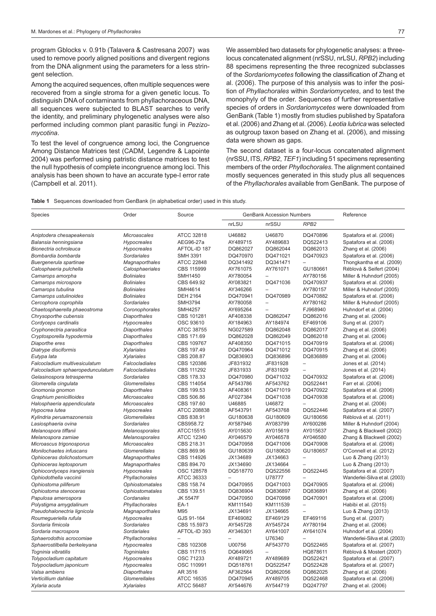program Gblocks v. 0.91b (Talavera & Castresana 2007) was used to remove poorly aligned positions and divergent regions from the DNA alignment using the parameters for a less stringent selection.

Among the acquired sequences, often multiple sequences were recovered from a single stroma for a given genetic locus. To distinguish DNA of contaminants from phyllachoraceous DNA, all sequences were subjected to BLAST searches to verify the identity, and preliminary phylogenetic analyses were also performed including common plant parasitic fungi in *Pezizomycotina*.

To test the level of congruence among loci, the Congruence Among Distance Matrices test (CADM, Legendre & Lapointe 2004) was performed using patristic distance matrices to test the null hypothesis of complete incongruence among loci. This analysis has been shown to have an accurate type-I error rate (Campbell et al. 2011).

We assembled two datasets for phylogenetic analyses: a threelocus concatenated alignment (nrSSU, nrLSU, *RPB2*) including 88 specimens representing the three recognized subclasses of the *Sordariomycetes* following the classification of Zhang et al. (2006). The purpose of this analysis was to infer the position of *Phyllachorales* within *Sordariomycetes*, and to test the monophyly of the order. Sequences of further representative species of orders in *Sordariomycetes* were downloaded from GenBank (Table 1) mostly from studies published by Spatafora et al. (2006) and Zhang et al. (2006). *Leotia lubrica* was selected as outgroup taxon based on Zhang et al. (2006), and missing data were shown as gaps.

The second dataset is a four-locus concatenated alignment (nrSSU, ITS, *RPB2*, *TEF1*) including 51 specimens representing members of the order *Phyllochorales*. The alignment contained mostly sequences generated in this study plus all sequences of the *Phyllachorales* available from GenBank. The purpose of

|  |  | <b>Table 1</b> Sequences downloaded from GenBank (in alphabetical order) used in this study. |  |  |  |  |  |  |  |  |  |
|--|--|----------------------------------------------------------------------------------------------|--|--|--|--|--|--|--|--|--|
|--|--|----------------------------------------------------------------------------------------------|--|--|--|--|--|--|--|--|--|

| Species                                    | Order                               | Source                   |          | <b>GenBank Accession Numbers</b> | Reference                |                               |
|--------------------------------------------|-------------------------------------|--------------------------|----------|----------------------------------|--------------------------|-------------------------------|
|                                            |                                     |                          | nrLSU    | nrSSU                            | RPB <sub>2</sub>         |                               |
| Aniptodera chesapeakensis                  | <b>Microascales</b>                 | ATCC 32818               | U46882   | U46870                           | DQ470896                 | Spatafora et al. (2006)       |
| Balansia henningsiana                      | Hypocreales                         | AEG96-27a                | AY489715 | AY489683                         | DQ522413                 | Spatafora et al. (2006)       |
| Bionectria ochroleuca                      | <b>Hypocreales</b>                  | AFTOL-ID 187             | DQ862027 | DQ862044                         | DQ862013                 | Zhang et al. (2006)           |
| Bombardia bombarda                         | <b>Sordariales</b>                  | <b>SMH 3391</b>          | DQ470970 | DQ471021                         | DQ470923                 | Spatafora et al. (2006)       |
| Buergenerula spartinae                     | Magnaporthales                      | ATCC 22848               | DQ341492 | DQ341471                         | $\overline{a}$           | Thongkantha et al. (2009)     |
| Calosphaeria pulchella                     | Calosphaeriales                     | CBS 115999               | AY761075 | AY761071                         | GU180661                 | Réblová & Seifert (2004)      |
| Camarops amorpha                           | <b>Boliniales</b>                   | <b>SMH1450</b>           | AY780054 |                                  | AY780156                 | Miller & Huhndorf (2005)      |
| Camarops microspora                        | <b>Boliniales</b>                   | CBS 649.92               | AY083821 | DQ471036                         | DQ470937                 | Spatafora et al. (2006)       |
| Camarops tubulina                          | <b>Boliniales</b>                   | <b>SMH4614</b>           | AY346266 | $\equiv$                         | AY780157                 | Miller & Huhndorf (2005)      |
| Camarops ustulinoides                      | <b>Boliniales</b>                   | <b>DEH 2164</b>          | DQ470941 | DQ470989                         | DQ470882                 | Spatafora et al. (2006)       |
| Cercophora coprophila                      | Sordariales                         | <b>SMH3794</b>           | AY780058 | $\overline{a}$                   | AY780162                 | Miller & Huhndorf (2005)      |
| Chaetosphaerella phaeostroma               | Coronophorales                      | <b>SMH4257</b>           | AY695264 |                                  | FJ968940                 | Huhndorf et al. (2004)        |
| Chrysoporthe cubensis                      | <b>Diaporthales</b>                 | CBS 101281               | AF408338 | DQ862047                         | DQ862016                 | Zhang et al. (2006)           |
| Cordyceps cardinalis                       | <b>Hypocreales</b>                  | OSC 93610                | AY184963 | AY184974                         | EF469106                 | Sung et al. (2007)            |
| Cryphonectria parasitica                   | <b>Diaporthales</b>                 | ATCC 38755               | NG027589 | DQ862048                         | DQ862017                 | Zhang et al. (2006)           |
| Cryptosporella hypodermia                  | <b>Diaporthales</b>                 | CBS 171.69               | DQ862028 | DQ862049                         | DQ862018                 | Zhang et al. (2006)           |
| Diaporthe eres                             | <b>Diaporthales</b>                 | CBS 109767               | AF408350 | DQ471015                         | DQ470919                 | Spatafora et al. (2006)       |
| Diatrype disciformis                       | <b>Xylariales</b>                   | CBS 197.49               | DQ470964 | DQ471012                         | DQ470915                 | Zhang et al. (2006)           |
| Eutypa lata                                | <b>Xylariales</b>                   | CBS 208.87               | DQ836903 | DQ836896                         | DQ836889                 | Zhang et al. (2006)           |
| Falcocladium multivesiculatum              | Falcocladiales                      | CBS 120386               | JF831932 | JF831928                         | $\equiv$                 | Jones et al. (2014)           |
| Falcocladium sphaeropedunculatum           | Falcocladiales                      | CBS 111292               | JF831933 | JF831929                         | $\equiv$                 | Jones et al. (2014)           |
| Gelasinospora tetrasperma                  | Sordariales                         | CBS 178.33               | DQ470980 | DQ471032                         | DQ470932                 | Spatafora et al. (2006)       |
| Glomerella cingulata                       | Glomerellales                       | CBS 114054               | AF543786 | AF543762                         | DQ522441                 | Farr et al. (2006)            |
|                                            | <b>Diaporthales</b>                 | CBS 199.53               | AF408361 | DQ471019                         | DQ470922                 |                               |
| Gnomonia gnomon<br>Graphium penicillioides |                                     |                          | AF027384 |                                  | DQ470938                 | Spatafora et al. (2006)       |
|                                            | Microascales<br><b>Microascales</b> | CBS 506.86<br>CBS 197.60 | U46885   | DQ471038<br>U46872               |                          | Spatafora et al. (2006)       |
| Halosphaeria appendiculata                 |                                     | ATCC 208838              | AF543791 | AF543768                         |                          | Zhang et al. (2006)           |
| Hypocrea lutea                             | Hypocreales                         |                          |          |                                  | DQ522446                 | Spatafora et al. (2007)       |
| Kylindria peruamazonensis                  | Glomerellales                       | CBS 838.91               | GU180638 | GU180609                         | GU180656<br>AY600286     | Réblová et al. (2011)         |
| Lasiosphaeria ovina                        | Sordariales                         | CBS958.72                | AY587946 | AY083799                         |                          | Miller & Huhndorf (2004)      |
| Melanospora tiffanii                       | Melanosporales                      | ATCC15515                | AY015630 | AY015619                         | AY015637                 | Zhang & Blackwell (2002)      |
| Melanospora zamiae                         | Melanosporales                      | <b>ATCC 12340</b>        | AY046579 | AY046578                         | AY046580                 | Zhang & Blackwell (2002)      |
| Microascus trigonosporus                   | Microascales                        | CBS 218.31               | DQ470958 | DQ471006                         | DQ470908                 | Spatafora et al. (2006)       |
| Monilochaetes infuscans                    | Glomerellales                       | CBS 869.96               | GU180639 | GU180620                         | GU180657                 | O'Connell et al. (2012)       |
| Ophioceras dolichostomum                   | Magnaporthales                      | CBS 114926               | JX134689 | JX134663                         | $\overline{\phantom{0}}$ | Luo & Zhang (2013)            |
| Ophioceras leptosporum                     | Magnaporthales                      | CBS 894.70               | JX134690 | JX134664                         |                          | Luo & Zhang (2013)            |
| Ophiocordyceps irangiensis                 | <b>Hypocreales</b>                  | OSC 128578               | DQ518770 | DQ522556                         | DQ522445                 | Spatafora et al. (2007)       |
| Ophiodothella vaccinii                     | Phyllachorales                      | ATCC 36333               |          | U78777                           |                          | Wanderlei-Silva et al. (2003) |
| Ophiostoma piliferum                       | Ophiostomatales                     | CBS 158.74               | DQ470955 | DQ471003                         | DQ470905                 | Spatafora et al. (2006)       |
| Ophiostoma stenoceras                      | Ophiostomatales                     | CBS 139.51               | DQ836904 | DQ836897                         | DQ836891                 | Zhang et al. (2006)           |
| Papulosa amerospora                        | Cordanales                          | JK 5547F                 | DQ470950 | DQ470998                         | DQ470901                 | Spatafora et al. (2006)       |
| Polystigma amygdalinum                     | Phyllachorales                      | EA-1                     | KM111540 | KM111539                         | $\overline{\phantom{0}}$ | Habibi et al. (2015)          |
| Pseudohalonectria lignicola                | Magnaporthales                      | M95                      | JX134691 | JX134665                         |                          | Luo & Zhang (2013)            |
| Roumegueriella rufula                      | Hypocreales                         | GJS 91-164               | EF469082 | EF469129                         | EF469116                 | Sung et al. (2007)            |
| Sordaria fimicola                          | <b>Sordariales</b>                  | CBS 15.5973              | AY545728 | AY545724                         | AY780194                 | Zhang et al. (2006)           |
| Sordaria macrospora                        | <b>Sordariales</b>                  | AFTOL-ID 393             | AY346301 | AY641007                         | AY641074                 | Huhndorf et al. (2004)        |
| Sphaerodothis acrocomiae                   | Phyllachorales                      |                          |          | U76340                           |                          | Wanderlei-Silva et al. (2003) |
| Sphaerostilbella berkeleyana               | Hypocreales                         | CBS 102308               | U00756   | AF543770                         | DQ522465                 | Spatafora et al. (2007)       |
| Togninia vibratilis                        | <b>Togniniales</b>                  | CBS 117115               | DQ649065 |                                  | HQ878611                 | Réblová & Mostert (2007)      |
| Tolypocladium capitatum                    | Hypocreales                         | OSC 71233                | AY489721 | AY489689                         | DQ522421                 | Spatafora et al. (2007)       |
| Tolypocladium japonicum                    | <b>Hypocreales</b>                  | OSC 110991               | DQ518761 | DQ522547                         | DQ522428                 | Spatafora et al. (2007)       |
| Valsa ambiens                              | <b>Diaporthales</b>                 | AR 3516                  | AF362564 | DQ862056                         | DQ862025                 | Zhang et al. (2006)           |
| Verticillium dahliae                       | Glomerellales                       | <b>ATCC 16535</b>        | DQ470945 | AY489705                         | DQ522468                 | Spatafora et al. (2006)       |
| Xylaria acuta                              | <b>Xylariales</b>                   | ATCC 56487               | AY544676 | AY544719                         | DQ247797                 | Zhang et al. (2006)           |
|                                            |                                     |                          |          |                                  |                          |                               |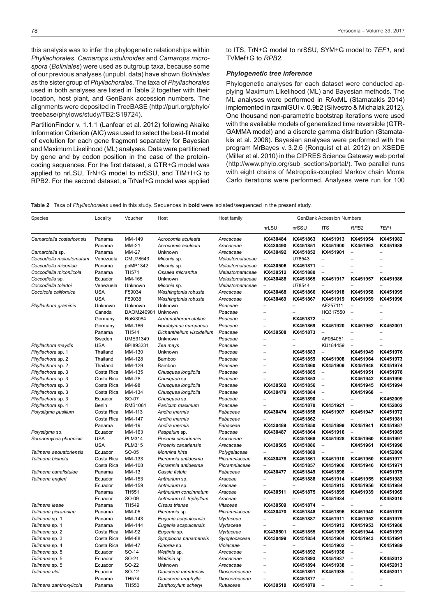this analysis was to infer the phylogenetic relationships within *Phyllachorales*. *Camarops ustulinoides* and *Camarops microspora* (*Boliniales*) were used as outgroup taxa, because some of our previous analyses (unpubl. data) have shown *Boliniales* as the sister group of *Phyllachorales*. The taxa of *Phyllachorales* used in both analyses are listed in Table 2 together with their location, host plant, and GenBank accession numbers. The alignments were deposited in TreeBASE (http://purl.org/phylo/ treebase/phylows/study/TB2:S19724).

PartitionFinder v. 1.1.1 (Lanfear et al. 2012) following Akaike Information Criterion (AIC) was used to select the best-fit model of evolution for each gene fragment separately for Bayesian and Maximum Likelihood (ML) analyses. Data were partitioned by gene and by codon position in the case of the proteincoding sequences. For the first dataset, a GTR+G model was applied to nrLSU, TrN+G model to nrSSU, and TIM+I+G to RPB2. For the second dataset, a TrNef+G model was applied to ITS, TrN+G model to nrSSU, SYM+G model to *TEF1*, and TVMef+G to *RPB2*.

#### *Phylogenetic tree inference*

Phylogenetic analyses for each dataset were conducted applying Maximum Likelihood (ML) and Bayesian methods. The ML analyses were performed in RAxML (Stamatakis 2014) implemented in raxmlGUI v. 0.9b2 (Silvestro & Michalak 2012). One thousand non-parametric bootstrap iterations were used with the available models of generalized time reversible (GTR-GAMMA model) and a discrete gamma distribution (Stamatakis et al. 2008). Bayesian analyses were performed with the program MrBayes v. 3.2.6 (Ronquist et al. 2012) on XSEDE (Miller et al. 2010) in the CIPRES Science Gateway web portal (http://www.phylo.org/sub\_sections/portal/). Two parallel runs with eight chains of Metropolis-coupled Markov chain Monte Carlo iterations were performed. Analyses were run for 100

**Table 2** Taxa of *Phyllachorales* used in this study. Sequences in **bold** were isolated/sequenced in the present study.

| Species                   | Locality                 | Voucher         | Host                      | Host family     | <b>GenBank Accession Numbers</b> |                      |                          |                          |                   |
|---------------------------|--------------------------|-----------------|---------------------------|-----------------|----------------------------------|----------------------|--------------------------|--------------------------|-------------------|
|                           |                          |                 |                           |                 | nrLSU                            | nrSSU                | <b>ITS</b>               | RPB <sub>2</sub>         | TEF1              |
| Camarotella costaricensis | Panama                   | MM-149          | Acrocomia aculeata        | Arecaceae       | KX430484                         | KX451863             | KX451913                 | KX451954                 | KX451982          |
|                           | Panama                   | <b>MM-21</b>    | Acrocomia aculeata        | Arecaceae       | KX430490                         | KX451851             | KX451900                 | KX451963                 | KX451988          |
| Camarotella sp.           | Panama                   | MM-27           | Unknown                   | Arecaceae       | KX430492                         | KX451852             | KX451901                 | $\overline{\phantom{a}}$ |                   |
| Coccodiella melastomatum  | Venezuela                | CMU78543        | Miconia sp.               | Melastomataceae | $\overline{\phantom{0}}$         | U78543               | $\overline{\phantom{0}}$ |                          | $\overline{a}$    |
| Coccodiella miconiae      | Panama                   | ppMP1342        | Miconia sp.               | Melastomataceae | KX430506                         | KX451871             | $\overline{\phantom{0}}$ |                          |                   |
| Coccodiella miconiicola   | Panama                   | <b>TH571</b>    | Ossaea micrantha          | Melastomataceae | KX430512                         | KX451880             |                          |                          |                   |
| Coccodiella sp.           | Ecuador                  | MM-165          | Unknown                   | Melastomataceae | KX430488                         | KX451865             | KX451917                 | KX451957                 | KX451986          |
| Coccodiella toledoi       | Venezuela                | Unknown         | Miconia sp.               | Melastomataceae | $\overline{\phantom{0}}$         | U78544               |                          |                          |                   |
| Cocoicola californica     | <b>USA</b>               | F59034          | Washingtonia robusta      | Arecaceae       | KX430468                         | KX451866             | KX451918                 | KX451958                 | KX451995          |
|                           | <b>USA</b>               | F59038          | Washingtonia robusta      | Arecaceae       | KX430469                         | KX451867             | KX451919                 | KX451959                 | KX451996          |
| Phyllachora graminis      | Unknown                  | Unknown         | Unknown                   | Poaceae         |                                  |                      | AF257111                 |                          |                   |
|                           | Canada                   | DAOM240981      | Unknown                   | Poaceae         |                                  |                      | HQ317550                 | $\overline{\phantom{a}}$ | $\overline{a}$    |
|                           | Germany                  | <b>RoKi3084</b> | Arrhenatherum elatius     | Poaceae         |                                  | KX451872             |                          |                          |                   |
|                           | Germany                  | MM-166          | Hordelymus europaeus      | Poaceae         | $\equiv$                         | KX451869             | KX451920                 | KX451962                 | KX452001          |
|                           | Panama                   | <b>TH544</b>    | Dichanthelium viscidellum | Poaceae         | KX430508                         | KX451873             | $\overline{\phantom{a}}$ |                          |                   |
|                           | Sweden                   | UME31349        | Unknown                   | Poaceae         |                                  |                      | AF064051                 | $\overline{a}$           |                   |
| Phyllachora maydis        | <b>USA</b>               | BPI893231       | Zea mays                  | Poaceae         | $\overline{\phantom{0}}$         |                      | KU184459                 | $\overline{a}$           |                   |
| Phyllachora sp. 1         | Thailand                 | MM-130          | Unknown                   | Poaceae         | $\overline{\phantom{0}}$         | KX451883             | $\overline{\phantom{0}}$ | KX451949                 | KX451976          |
| Phyllachora sp. 2         | Thailand                 | MM-128          | Bamboo                    | Poaceae         |                                  | KX451859             | KX451908                 | KX451964                 | KX451973          |
| Phyllachora sp. 2         | Thailand                 | MM-129          | Bamboo                    | Poaceae         | $\overline{\phantom{0}}$         | KX451860             | KX451909                 | KX451948                 | KX451974          |
| Phyllachora sp. 3         | Costa Rica               | MM-135          | Chusquea longifolia       | Poaceae         | $\overline{\phantom{0}}$         | KX451885             | $\overline{\phantom{a}}$ | KX451951                 | KX451978          |
| Phyllachora sp. 3         | Costa Rica               | <b>MM-78</b>    | Chusquea sp.              | Poaceae         |                                  | KX451853             | $\overline{\phantom{a}}$ | KX451942                 | KX451990          |
| Phyllachora sp. 3         | Costa Rica               | <b>MM-98</b>    | Chusquea longifolia       | Poaceae         | KX430502                         | KX451856             | $\overline{\phantom{a}}$ | KX451945                 | KX451994          |
| Phyllachora sp. 3         | Costa Rica               | MM-134          | Chusquea longifolia       | Poaceae         | KX430479                         | KX451884             | $\overline{\phantom{a}}$ | KX451968                 | $\qquad \qquad -$ |
| Phyllachora sp. 3         | Ecuador                  | SO-07           | Chusquea sp.              | Poaceae         |                                  | KX451890             |                          |                          | KX452009          |
| Phyllachora sp. 4         | Benin                    | RMB1061         | Panicum maximum           | Poaceae         |                                  | KX451870             | KX451921                 | $\overline{a}$           | KX452002          |
|                           |                          | MM-113          | Andira inermis            |                 | KX430474                         |                      | KX451907                 | KX451947                 | KX451972          |
| Polystigma pusillum       | Costa Rica<br>Costa Rica | MM-147          |                           | Fabaceae        |                                  | KX451858<br>KX451862 | $\overline{\phantom{a}}$ |                          | KX451981          |
|                           |                          |                 | Andira inermis            | Fabaceae        |                                  |                      |                          |                          |                   |
|                           | Panama                   | MM-19           | Andira inermis            | Fabaceae        | KX430489                         | KX451850             | KX451899                 | KX451941                 | KX451987          |
| Polystigma sp.            | Ecuador                  | MM-163          | Paspalum sp.              | Poaceae         | KX430487                         | KX451864             | KX451916                 |                          | KX451985          |
| Serenomyces phoenicis     | <b>USA</b>               | <b>PLM314</b>   | Phoenix canariensis       | Arecaceae       |                                  | KX451868             | KX451928                 | KX451960                 | KX451997          |
|                           | <b>USA</b>               | <b>PLM315</b>   | Phoenix canariensis       | Arecaceae       | KX430505                         | KX451886             | $\equiv$                 | KX451961                 | KX451998          |
| Telimena aequatoriensis   | Ecuador                  | SO-05           | Monnina hirta             | Polygalaceae    |                                  | KX451889             | $\equiv$                 |                          | KX452008          |
| Telimena bicincta         | Costa Rica               | MM-133          | Picramnia antidesma       | Picramniaceae   | KX430478                         | KX451861             | KX451910                 | KX451950                 | KX451977          |
|                           | Costa Rica               | MM-108          | Picramnia antidesma       | Picramniaceae   |                                  | KX451857             | KX451906                 | KX451946                 | KX451971          |
| Telimena canafistulae     | Panama                   | MM-13           | Cassia fistula            | Fabaceae        | KX430477                         | KX451849             | KX451898                 | $\overline{a}$           | KX451975          |
| Telimena engleri          | Ecuador                  | MM-153          | Anthurium sp.             | Araceae         |                                  | KX451888             | KX451914                 | KX451955                 | KX451983          |
|                           | Ecuador                  | MM-159          | Anthurium sp.             | Araceae         |                                  |                      | KX451915                 | KX451956                 | KX451984          |
|                           | Panama                   | <b>TH551</b>    | Anthurium concinnatum     | Araceae         | KX430511                         | KX451875             | KX451895                 | KX451939                 | KX451969          |
|                           | Ecuador                  | SO-09           | Anthurium cf. triphyllum  | Araceae         |                                  |                      | KX451934                 | $\overline{a}$           | KX452010          |
| Telimena leeae            | Panama                   | <b>TH549</b>    | Cissus trianae            | Vitaceae        | KX430509                         | KX451874             |                          |                          |                   |
| Telimena picramniae       | Panama                   | MM-05           | Picramnia sp.             | Picramniaceae   | KX430470                         | KX451848             | KX451896                 | KX451940                 | KX451970          |
| Telimena sp. 1            | Panama                   | MM-143          | Eugenia acapulcensis      | Myrtaceae       | $\overline{\phantom{0}}$         | KX451887             | KX451911                 | KX451952                 | KX451979          |
| Telimena sp. 1            | Panama                   | MM-144          | Eugenia acapulcensis      | Myrtaceae       |                                  |                      | KX451912                 | KX451953                 | KX451980          |
| Telimena sp. 2            | Costa Rica               | MM-92           | Eugenia sp.               | Myrtaceae       | KX430501                         | KX451855             | KX451905                 | KX451944                 | KX451993          |
| Telimena sp. 3            | Costa Rica               | MM-88           | Symplocos panamensis      | Symplocaceae    | KX430499                         | KX451854             | KX451904                 | KX451943                 | KX451991          |
| Telimena sp. 4            | Costa Rica               | MM-47           | Rinorea sp.               | Violaceae       |                                  |                      | KX451902                 |                          | KX451989          |
| Telimena sp. 5            | Ecuador                  | SO-14           | Wettinia sp.              | Arecaceae       | $\overline{a}$                   | KX451892             | KX451936                 | $\overline{a}$           |                   |
| Telimena sp. 5            | Ecuador                  | SO-21           | Wettinia sp.              | Arecaceae       | $\overline{\phantom{0}}$         | KX451893             | KX451937                 | $\overline{\phantom{0}}$ | KX452012          |
| Telimena sp. 5            | Ecuador                  | SO-22           | Unknown                   | Arecaceae       | $\overline{\phantom{0}}$         | KX451894             | KX451938                 | $\overline{\phantom{0}}$ | KX452013          |
| Telimena ulei             | Ecuador                  | SO-12           | Dioscorea meridensis      | Dioscoreaceae   | $\overline{a}$                   | KX451891             | KX451935                 | $\overline{a}$           | KX452011          |
|                           | Panama                   | <b>TH574</b>    | Dioscorea urophylla       | Dioscoreaceae   | $\equiv$                         | KX451877             | $\overline{a}$           |                          | $\overline{a}$    |
| Telimena zanthoxylicola   | Panama                   | <b>TH550</b>    | Zanthoxylum scheryi       | Rutiaceae       | KX430510                         | KX451879             | $\equiv$                 |                          |                   |
|                           |                          |                 |                           |                 |                                  |                      |                          |                          |                   |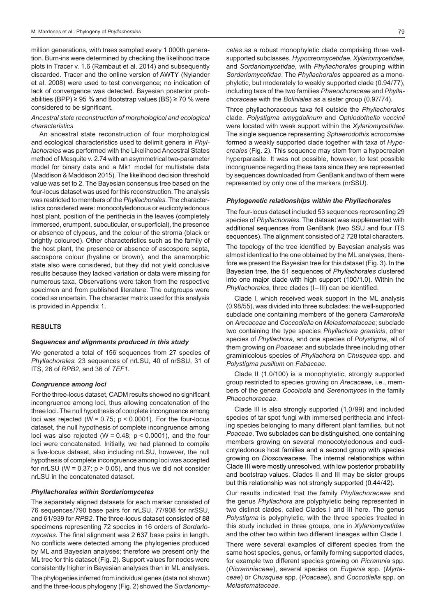million generations, with trees sampled every 1 000th generation. Burn-ins were determined by checking the likelihood trace plots in Tracer v. 1.6 (Rambaut et al. 2014) and subsequently discarded. Tracer and the online version of AWTY (Nylander et al. 2008) were used to test convergence; no indication of lack of convergence was detected. Bayesian posterior probabilities (BPP) ≥ 95 % and Bootstrap values (BS) ≥ 70 % were considered to be significant.

# *Ancestral state reconstruction of morphological and ecological characteristics*

An ancestral state reconstruction of four morphological and ecological characteristics used to delimit genera in *Phyllachorales* was performed with the Likelihood Ancestral States method of Mesquite v. 2.74 with an asymmetrical two-parameter model for binary data and a Mk1 model for multistate data (Maddison & Maddison 2015). The likelihood decision threshold value was set to 2. The Bayesian consensus tree based on the four-locus dataset was used for this reconstruction. The analysis was restricted to members of the *Phyllachorales*. The characteristics considered were: monocotyledonous or eudicotyledonous host plant, position of the perithecia in the leaves (completely immersed, erumpent, subcuticular, or superficial), the presence or absence of clypeus, and the colour of the stroma (black or brightly coloured). Other characteristics such as the family of the host plant, the presence or absence of ascospore septa, ascospore colour (hyaline or brown), and the anamorphic state also were considered, but they did not yield conclusive results because they lacked variation or data were missing for numerous taxa. Observations were taken from the respective specimen and from published literature. The outgroups were coded as uncertain. The character matrix used for this analysis is provided in Appendix 1.

## **RESULTS**

#### *Sequences and alignments produced in this study*

We generated a total of 156 sequences from 27 species of *Phyllachorales*: 23 sequences of nrLSU, 40 of nrSSU, 31 of ITS, 26 of *RPB2*, and 36 of *TEF1.*

#### *Congruence among loci*

For the three-locus dataset, CADM results showed no significant incongruence among loci, thus allowing concatenation of the three loci. The null hypothesis of complete incongruence among loci was rejected (W =  $0.75$ ; p <  $0.0001$ ). For the four-locus dataset, the null hypothesis of complete incongruence among loci was also rejected ( $W = 0.48$ ;  $p < 0.0001$ ), and the four loci were concatenated. Initially, we had planned to compile a five-locus dataset, also including nrLSU, however, the null hypothesis of complete incongruence among loci was accepted for nrLSU ( $W = 0.37$ ;  $p > 0.05$ ), and thus we did not consider nrLSU in the concatenated dataset.

# *Phyllachorales within Sordariomycetes*

The separately aligned datasets for each marker consisted of 76 sequences/790 base pairs for nrLSU, 77/908 for nrSSU, and 61/939 for *RPB2*. The three-locus dataset consisted of 88 specimens representing 72 species in 16 orders of *Sordariomycetes*. The final alignment was 2 637 base pairs in length. No conflicts were detected among the phylogenies produced by ML and Bayesian analyses; therefore we present only the ML tree for this dataset (Fig. 2). Support values for nodes were consistently higher in Bayesian analyses than in ML analyses.

The phylogenies inferred from individual genes (data not shown) and the three-locus phylogeny (Fig. 2) showed the *Sordariomy-*

*cetes* as a robust monophyletic clade comprising three wellsupported subclasses, *Hypocreomycetidae*, *Xylariomycetidae*, and *Sordariomycetidae*, with *Phyllachorales* grouping within *Sordariomycetidae*. The *Phyllachorales* appeared as a monophyletic, but moderately to weakly supported clade (0.94/77), including taxa of the two families *Phaeochoraceae* and *Phyllachoraceae* with the *Boliniales* as a sister group (0.97/74).

Three phyllachoraceous taxa fell outside the *Phyllachorales* clade. *Polystigma amygdalinum* and *Ophiodothella vaccinii* were located with weak support within the *Xylariomycetidae*. The single sequence representing *Sphaerodothis acrocomiae* formed a weakly supported clade together with taxa of *Hypocreales* (Fig. 2). This sequence may stem from a hypocrealen hyperparasite. It was not possible, however, to test possible incongruence regarding these taxa since they are represented by sequences downloaded from GenBank and two of them were represented by only one of the markers (nrSSU).

#### *Phylogenetic relationships within the Phyllachorales*

The four-locus dataset included 53 sequences representing 29 species of *Phyllachorales*. The dataset was supplemented with additional sequences from GenBank (two SSU and four ITS sequences). The alignment consisted of 2 728 total characters.

The topology of the tree identified by Bayesian analysis was almost identical to the one obtained by the ML analyses, therefore we present the Bayesian tree for this dataset (Fig. 3). In the Bayesian tree, the 51 sequences of *Phyllachorales* clustered into one major clade with high support (100/1.0). Within the *Phyllachorales*, three clades (I–III) can be identified.

Clade I, which received weak support in the ML analysis (0.98/55), was divided into three subclades: the well-supported subclade one containing members of the genera *Camarotella* on *Arecaceae* and *Coccodiella* on *Melastomataceae*; subclade two containing the type species *Phyllachora graminis*, other species of *Phyllachora*, and one species of *Polystigma*, all of them growing on *Poaceae*; and subclade three including other graminicolous species of *Phyllachora* on *Chusquea* spp. and *Polystigma pusillum* on *Fabaceae*.

 Clade II (1.0/100) is a monophyletic, strongly supported group restricted to species growing on *Arecaceae*, i.e., members of the genera *Cocoicola* and *Serenomyces* in the family *Phaeochoraceae*.

 Clade III is also strongly supported (1.0/99) and included species of tar spot fungi with immersed perithecia and infecting species belonging to many different plant families, but not *Poaceae*. Two subclades can be distinguished, one containing members growing on several monocotyledonous and eudicotyledonous host families and a second group with species growing on *Dioscoreaceae*. The internal relationships within Clade III were mostly unresolved, with low posterior probability and bootstrap values. Clades II and III may be sister groups but this relationship was not strongly supported (0.44/42).

Our results indicated that the family *Phyllachoraceae* and the genus *Phyllachora* are polyphyletic being represented in two distinct clades, called Clades I and III here. The genus *Polystigma* is polyphyletic, with the three species treated in this study included in three groups, one in *Xylariomycetidae* and the other two within two different lineages within Clade I.

There were several examples of different species from the same host species, genus, or family forming supported clades, for example two different species growing on *Picramnia* spp. (*Picramniaceae*), several species on *Eugenia* spp. (*Myrtaceae*) or *Chusquea* spp. (*Poaceae*), and *Coccodiella* spp. on *Melastomataceae*.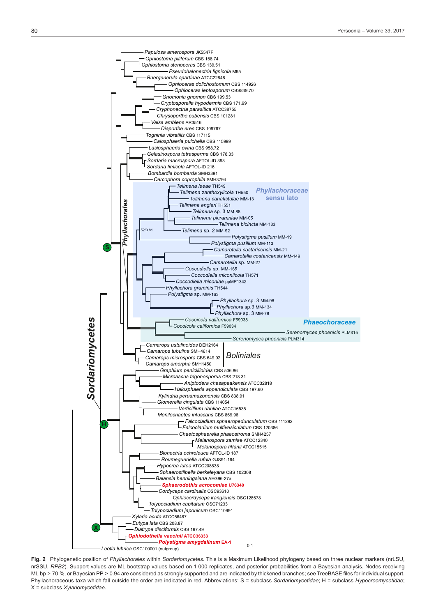

**Fig. 2** Phylogenetic position of *Phyllachorales* within *Sordariomycetes.* This is a Maximum Likelihood phylogeny based on three nuclear markers (nrLSU, nrSSU, *RPB2*). Support values are ML bootstrap values based on 1 000 replicates, and posterior probabilities from a Bayesian analysis. Nodes receiving ML bp > 70 %, or Bayesian PP > 0.94 are considered as strongly supported and are indicated by thickened branches; see TreeBASE files for individual support. Phyllachoraceous taxa which fall outside the order are indicated in red. Abbreviations: S = subclass *Sordariomycetidae*; H = subclass *Hypocreomycetidae*; X = subclass *Xylariomycetidae*.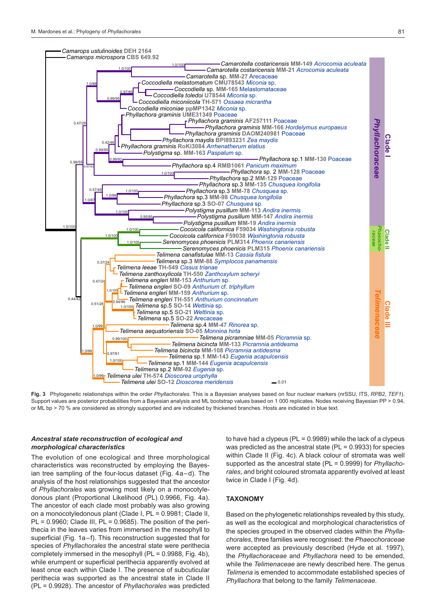

**Fig. 3** Phylogenetic relationships within the order *Phyllachorales.* This is a Bayesian analyses based on four nuclear markers (nrSSU, ITS, *RPB2*, *TEF1*). Support values are posterior probabilities from a Bayesian analysis and ML bootstrap values based on 1 000 replicates. Nodes receiving Bayesian PP > 0.94, or ML bp > 70 % are considered as strongly supported and are indicated by thickened branches. Hosts are indicated in blue text.

# *Ancestral state reconstruction of ecological and morphological characteristics*

The evolution of one ecological and three morphological characteristics was reconstructed by employing the Bayesian tree sampling of the four-locus dataset (Fig. 4a–d). The analysis of the host relationships suggested that the ancestor of *Phyllachorales* was growing most likely on a monocotyledonous plant (Proportional Likelihood (PL) 0.9966, Fig. 4a). The ancestor of each clade most probably was also growing on a monocotyledonous plant (Clade I, PL = 0.9981; Clade II,  $PL = 0.9960$ ; Clade III,  $PL = 0.9685$ ). The position of the perithecia in the leaves varies from immersed in the mesophyll to superficial (Fig. 1a–f). This reconstruction suggested that for species of *Phyllachorales* the ancestral state were perithecia completely immersed in the mesophyll (PL = 0.9988, Fig. 4b), while erumpent or superficial perithecia apparently evolved at least once each within Clade I. The presence of subcuticular perithecia was supported as the ancestral state in Clade II (PL = 0.9928). The ancestor of *Phyllachorales* was predicted

to have had a clypeus (PL = 0.9989) while the lack of a clypeus was predicted as the ancestral state (PL = 0.9933) for species within Clade II (Fig. 4c). A black colour of stromata was well supported as the ancestral state (PL = 0.9999) for *Phyllachorales*, and bright coloured stromata apparently evolved at least twice in Clade I (Fig. 4d).

# **TAXONOMY**

Based on the phylogenetic relationships revealed by this study, as well as the ecological and morphological characteristics of the species grouped in the observed clades within the *Phyllachorales*, three families were recognised: the *Phaeochoraceae* were accepted as previously described (Hyde et al. 1997), the *Phyllachoraceae* and *Phyllachora* need to be emended, while the *Telimenaceae* are newly described here. The genus *Telimena* is emended to accommodate established species of *Phyllachora* that belong to the family *Telimenaceae*.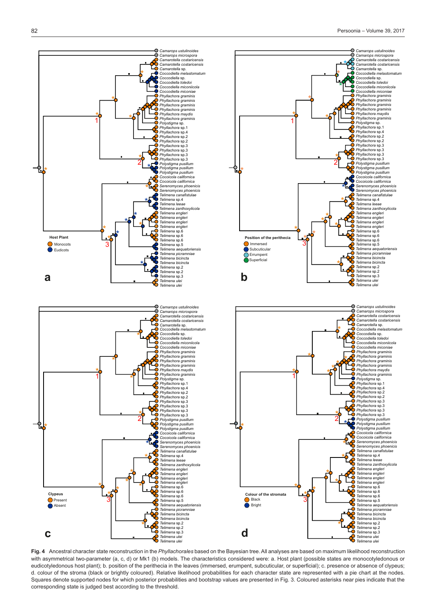

ğ ŏ

*Camarops ustulinoides Camarops microspora Camarotella costaricensis Camarotella costaricensis* **Camarotella** cos *Coccodiella melastomatum Coccodiella* sp. *Coccodiella toledoi Coccodiella miconiicola Coccodiella miconiae Phyllachora graminis Phyllachora graminis Phyllachora graminis Phyllachora graminis Phyllachora maydis Phyllachora graminis Polystigma* sp. *Phyllachora* sp.1 *Phyllachora* sp.4 **Phyllachora** sp.2 *Phyllachora* sp.2 *Phyllachora* sp.3 *Phyllachora* sp.3 *Phyllachora* sp.3 *Phyllachora* sp.3<br>*Phyllachora* sp.3<br>**Phyllachora** sp.3

*Polystigma pusillum Polystigma pusillum Polystigma pusillum Cocoicola californica Cocoicola californica*

\*

\*

ę.

 $\check{\mathbf{e}}$ 

\*

\*

H

*Serenomyces phoenicis Serenomyces phoenicis Telimena canafistulae Telimena* sp.4 *Telimena leeae Telimena zanthoxylicola Telimena engleri Telimena engleri Telimena engleri Telimena engleri Telimena* sp.6 *Telimena* sp.6 *Telimena* sp.6 *Telimena* sp.5 *Telimena aequatoriensis Telimena picramniae Telimena bicincta Telimena bicincta Telimena* sp.2 *Telimena* sp.2 *Telimena* sp.3 *Telimena ulei Telimena ulei* 

*Camarops ustulinoides Camarops microspora Camarotella costaricensis Camarotella costaricensis Camarotella* sp. *Coccodiella melastomatum Coccodiella* sp. *Coccodiella toledoi Coccodiella miconiicola Coccodiella miconiae Phyllachora graminis Phyllachora graminis Phyllachora graminis Phyllachora graminis Phyllachora maydis Phyllachora graminis Polystigma* sp. *Phyllachora* sp.1 *Phyllachora* sp.4 *Phyllachora* sp.2 *Phyllachora* sp.2

Phyllachora sp.3<br>Phyllachora sp.3<br>Phyllachora sp.3<br>Phyllachora sp.3<br>Polystigma pusillum<br>Polystigma pusillum<br>Polystigma pusillum<br>Cocoicola californica<br>Cocoicola californica

\*

\*

 $\mathbf{I}$ 

Łğ

ዼ

Y

\*

\*

\*

L Ō

 $\boldsymbol{\delta}$ 

*Serenomyces phoenicis Serenomyces phoenicis Telimena canafistulae Telimena* sp.4 *Telimena leeae Telimena zanthoxylicola* 

*Telimena engleri Telimena engleri Telimena engleri Telimena engleri Telimena* sp.6 *Telimena* sp.6 *Telimena* sp.6 *Telimena* sp.5 *Telimena aequatoriensis Telimena picramniae Telimena bicincta Telimena bicincta Telimena* sp.2 *Telimena* sp.2 *Telimena* sp.3 *Telimena ulei Telimena ulei*

Serenomyces phoenicis<br>Serenomyces phoenicis

**Fig. 4** Ancestral character state reconstruction in the *Phyllachorales* based on the Bayesian tree. All analyses are based on maximum likelihood reconstruction with asymmetrical two-parameter (a, c, d) or Mk1 (b) models. The characteristics considered were: a. Host plant (possible states are monocotyledonous or eudicotyledonous host plant); b. position of the perithecia in the leaves (immersed, erumpent, subcuticular, or superficial); c. presence or absence of clypeus; d. colour of the stroma (black or brightly coloured). Relative likelihood probabilities for each character state are represented with a pie chart at the nodes. Squares denote supported nodes for which posterior probabilities and bootstrap values are presented in Fig. 3. Coloured asterisks near pies indicate that the corresponding state is judged best according to the threshold.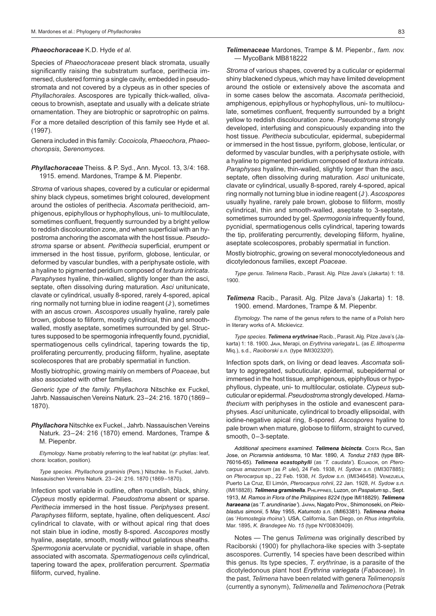#### *Phaeochoraceae* K.D. Hyde *et al.*

Species of *Phaeochoraceae* present black stromata, usually significantly raising the substratum surface, perithecia immersed, clustered forming a single cavity, embedded in pseudostromata and not covered by a clypeus as in other species of *Phyllachorales*. Ascospores are typically thick-walled, olivaceous to brownish, aseptate and usually with a delicate striate ornamentation. They are biotrophic or saprotrophic on palms.

For a more detailed description of this family see Hyde et al. (1997).

Genera included in this family: *Cocoicola*, *Phaeochora*, *Phaeochoropsis*, *Serenomyces.*

*Phyllachoraceae* Theiss. & P. Syd., Ann. Mycol. 13, 3/4: 168. 1915. emend. Mardones, Trampe & M. Piepenbr.

*Stroma* of various shapes, covered by a cuticular or epidermal shiny black clypeus, sometimes bright coloured, development around the ostioles of perithecia. *Ascomata* perithecioid, amphigenous, epiphyllous or hyphophyllous, uni- to multiloculate, sometimes confluent, frequently surrounded by a bright yellow to reddish discolouration zone, and when superficial with an hypostroma anchoring the ascomata with the host tissue. *Pseudostroma* sparse or absent. *Perithecia* superficial, erumpent or immersed in the host tissue, pyriform, globose, lenticular, or deformed by vascular bundles, with a periphysate ostiole, with a hyaline to pigmented peridium composed of *textura intricata*. *Paraphyses* hyaline, thin-walled, slightly longer than the asci, septate, often dissolving during maturation. *Asci* unitunicate, clavate or cylindrical, usually 8-spored, rarely 4-spored, apical ring normally not turning blue in iodine reagent (J- ), sometimes with an ascus crown. *Ascospores* usually hyaline, rarely pale brown, globose to filiform, mostly cylindrical, thin and smoothwalled, mostly aseptate, sometimes surrounded by gel. Structures supposed to be spermogonia infrequently found, pycnidial, spermatiogenous cells cylindrical, tapering towards the tip, proliferating percurrently, producing filiform, hyaline, aseptate scolecospores that are probably spermatial in function.

Mostly biotrophic, growing mainly on members of *Poaceae*, but also associated with other families.

*Generic type of the family. Phyllachora* Nitschke ex Fuckel, Jahrb. Nassauischen Vereins Naturk. 23–24: 216. 1870 (1869– 1870).

# *Phyllachora* Nitschke ex Fuckel., Jahrb. Nassauischen Vereins Naturk. 23–24: 216 (1870) emend. Mardones, Trampe & M. Piepenbr.

 *Etymology*. Name probably referring to the leaf habitat (*gr.* phyllas: leaf, chora: location, position).

 *Type species*. *Phyllachora graminis* (Pers.) Nitschke. In Fuckel, Jahrb. Nassauischen Vereins Naturk. 23–24: 216. 1870 (1869–1870).

Infection spot variable in outline, often roundish, black, shiny. *Clypeus* mostly epidermal. *Pseudostroma* absent or sparse. *Perithecia* immersed in the host tissue. *Periphyses* present. *Paraphyses* filiform, septate, hyaline, often deliquescent. *Asci* cylindrical to clavate, with or without apical ring that does not stain blue in iodine, mostly 8-spored. *Ascospores* mostly hyaline, aseptate, smooth, mostly without gelatinous sheaths. *Spermogonia* acervulate or pycnidial, variable in shape, often associated with ascomata. *Spermatiogenous cells* cylindrical, tapering toward the apex, proliferation percurrent. *Spermatia* filiform, curved, hyaline.

#### *Telimenaceae* Mardones, Trampe & M. Piepenbr*.*, *fam. nov.* — MycoBank MB818222

*Stroma* of various shapes, covered by a cuticular or epidermal shiny blackened clypeus, which may have limited development around the ostiole or extensively above the ascomata and in some cases below the ascomata. *Ascomata* perithecioid, amphigenous, epiphyllous or hyphophyllous, uni- to multiloculate, sometimes confluent, frequently surrounded by a bright yellow to reddish discolouration zone. *Pseudostroma* strongly developed, interfusing and conspicuously expanding into the host tissue. *Perithecia* subcuticular, epidermal, subepidermal or immersed in the host tissue, pyriform, globose, lenticular, or deformed by vascular bundles, with a periphysate ostiole, with a hyaline to pigmented peridium composed of *textura intricata. Paraphyses* hyaline, thin-walled, slightly longer than the asci, septate, often dissolving during maturation. *Asci* unitunicate, clavate or cylindrical, usually 8-spored, rarely 4-spored, apical ring normally not turning blue in iodine reagent (J- ). *Ascospores* usually hyaline, rarely pale brown, globose to filiform, mostly cylindrical, thin and smooth-walled, aseptate to 3-septate, sometimes surrounded by gel. *Spermogonia* infrequently found, pycnidial, spermatiogenous cells cylindrical, tapering towards the tip, proliferating percurrently, developing filiform, hyaline, aseptate scolecospores, probably spermatial in function.

Mostly biotrophic, growing on several monocotyledoneous and dicotyledonous families, except *Poaceae*.

 *Type genus*. *Telimena* Racib., Parasit. Alg. Pilze Java's (Jakarta) 1: 18. 1900.

*Telimena* Racib., Parasit. Alg. Pilze Java's (Jakarta) 1: 18. 1900. emend. Mardones, Trampe & M. Piepenbr.

 *Etymology*. The name of the genus refers to the name of a Polish hero in literary works of A. Mickievicz.

 *Type species*. *Telimena erythrinae* Racib., Parasit. Alg. Pilze Java's (Jakarta) 1: 18. 1900. Java, Merapi, on *Erythrina variegata* L. (as *E. lithosperma* Miq.), s.d., *Raciborski s.n.* (type IMI302320!).

Infection spots dark, on living or dead leaves. *Ascomata* solitary to aggregated, subcuticular, epidermal, subepidermal or immersed in the host tissue, amphigenous, epiphyllous or hypophyllous, clypeate, uni- to multilocular, ostiolate. *Clypeus* subcuticular or epidermal. *Pseudostroma* strongly developed. *Hamathecium* with periphyses in the ostiole and evanescent paraphyses. *Asci* unitunicate, cylindrical to broadly ellipsoidal, with iodine-negative apical ring, 8-spored. *Ascospores* hyaline to pale brown when mature, globose to filiform, straight to curved, smooth, 0–3-septate.

 *Additional specimens examined*. *Telimena bicincta*. Costa Rica, San Jose, on *Picramnia antidesma*, 10 Mar. 1890, *A. Tonduz 2183* (type BR-76016-65). **Telimena ecastophylli** (as '*T. caudata'*). Ecuador, on *Pterocarpus amazonum* (as *P. ulei*), 24 Feb. 1938, *H. Sydow s.n.* (IMI307885); on *Pterocarpus* sp., 22 Feb. 1938, *H. Sydow s.n.* (IMI346458). Venezuela, Puerto La Cruz, El Limón, *Pterocarpus rohrii*, 22 Jan. 1928, *H. Sydow s.n.* (IMI18828). *Telimena graminella*. Philippines, Luzon, on *Paspalum* sp., Sept. 1913, *M. Ramos in Flora of the Philippines 8224* (type IMI18829). *Telimena haraeana* (as '*T. arundinariae'*). Japan, Nagato Prov., Shimonoseki, on *Pleioblastus simonii*, 5 May 1955, *Katumoto s.n.* (IMI63381). *Telimena rhoina* (as '*Homostegia rhoina'*). USA, California, San Diego, on *Rhus integrifolia*, Mar. 1895, *K. Brandegee No. 15* (type NY00830409).

 Notes — The genus *Telimena* was originally described by Raciborski (1900) for phyllachora-like species with 3-septate ascospores. Currently, 14 species have been described within this genus. Its type species, *T. erythrinae*, is a parasite of the dicotyledonous plant host *Erythrina variegata* (*Fabaceae*). In the past, *Telimena* have been related with genera *Telimenopsis* (currently a synonym), *Telimenella* and *Telimenochora* (Petrak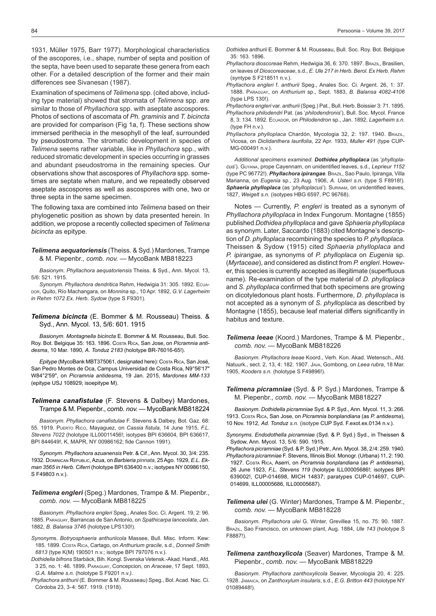1931, Müller 1975, Barr 1977). Morphological characteristics of the ascopores, i.e., shape, number of septa and position of the septa, have been used to separate these genera from each other. For a detailed description of the former and their main differences see Sivanesan (1987).

Examination of specimens of *Telimena* spp. (cited above, including type material) showed that stromata of *Telimena* spp. are similar to those of *Phyllachora* spp. with aseptate ascospores. Photos of sections of ascomata of *Ph. graminis* and *T. bicincta* are provided for comparison (Fig 1a, f). These sections show immersed perithecia in the mesophyll of the leaf, surrounded by pseudostroma. The stromatic development in species of *Telimena* seems rather variable, like in *Phyllachora* spp., with reduced stromatic development in species occurring in grasses and abundant pseudostroma in the remaining species. Our observations show that ascospores of *Phyllachora* spp. sometimes are septate when mature, and we repeatedly observed aseptate ascospores as well as ascospores with one, two or three septa in the same specimen.

The following taxa are combined into *Telimena* based on their phylogenetic position as shown by data presented herein. In addition, we propose a recently collected specimen of *Telimena bicincta* as epitype.

*Telimena aequatoriensis* (Theiss. & Syd.) Mardones, Trampe & M. Piepenbr., *comb. nov.* — MycoBank MB818223

 *Basionym*. *Phyllachora aequatoriensis* Theiss. & Syd., Ann. Mycol. 13, 5/6: 521. 1915.

 *Synonym*. *Phyllachora dendritica* Rehm, Hedwigia 31: 305. 1892. Ecuador, Quito, Río Machangara, on *Monnina* sp., 10 Apr. 1892, *G.V. Lagerheim in Rehm 1072 Ex. Herb. Sydow* (type S F9301)*.*

*Telimena bicincta* (E. Bommer & M. Rousseau) Theiss. & Syd., Ann. Mycol. 13, 5/6: 601. 1915

 *Basionym*. *Montagnella bicincta* E. Bommer & M. Rousseau, Bull. Soc. Roy. Bot. Belgique 35: 163. 1896. Costa Rica, San Jose, on *Picramnia antidesma*, 10 Mar. 1890, *A. Tonduz 2183* (holotype BR-76016-65!).

*Epitype* (MycoBank MBT375061, designated here): Costa Rica, San José, San Pedro Montes de Oca, Campus Universidad de Costa Rica, N9°56'17" W84°2'59", on *Picramnia antidesma*, 19 Jan. 2015, *Mardones MM-133* (epitype USJ 108929; isoepitype M).

# *Telimena canafistulae* (F. Stevens & Dalbey) Mardones, Trampe & M. Piepenbr., *comb. nov.* — MycoBank MB818224

 *Basionym*. *Phyllachora canafistulae* F. Stevens & Dalbey, Bot. Gaz. 68: 55. 1919. Puerto Rico, Mayaguez, on *Cassia fistula*, 14 June 1915, *F.L. Stevens 7022* (holotype ILL00011456!; isotypes BPI 636604, BPI 636617, BPI 844649!, K, MAPR, NY 00986162; fide Cannon 1991).

 *Synonym*. *Phyllachora azuanensis* Petr. & Cif., Ann. Mycol. 30, 3/4: 235. 1932. Dominican Republic, Azua, on *Barbieria pinnata*, 25 Ago. 1929, *E.L. Ekman 3565 in Herb. Ciferri* (holotype BPI 636400 n.v.; isotypes NY 00986150, S F49803 n.v.).

*Telimena engleri* (Speg.) Mardones, Trampe & M. Piepenbr., *comb. nov.* — MycoBank MB818225

 *Basionym*. *Phyllachora engleri* Speg., Anales Soc. Ci. Argent. 19, 2: 96. 1885. Paraguay, Barrancas de San Antonio, on *Spathicarpa lanceolata*, Jan. 1882, *B. Balansa 3746* (holotype LPS130!).

*Synonym*s. *Botryosphaeria anthuriicola* Massee, Bull. Misc. Inform. Kew: 185. 1899. Costa Rica, Cartago, on *Anthurium gracile*, s.d., *Donnell Smith 6813* (type K(M) 190501 n.v.; isotype BPI 797076 n.v.).

*Dothidella bifrons* Starbäck, Bih. Kongl. Svenska Vetensk.-Akad. Handl., Afd. 3 25, no. 1: 46. 1899. Paraguay, Concepcion, on *Araceae*, 17 Sept. 1893, *G.A. Malme s.n.* (holotype S F9201 n.v.*).*

*Phyllachora anthurii* (E. Bommer & M. Rousseau) Speg., Bol. Acad. Nac. Ci. Córdoba 23, 3-4: 567. 1919. (1918).

*Dothidea anthurii* E. Bommer & M. Rousseau, Bull. Soc. Roy. Bot. Belgique 35: 163. 1896.

- *Phyllachora dioscoreae* Rehm, Hedwigia 36, 6: 370. 1897. Brazil, Brasilien, on leaves of *Dioscoreaceae*, s.d., *E. Ule 217 in Herb. Berol. Ex Herb. Rehm* (syntype S F218511 n.v.).
- *Phyllachora engleri* f. *anthurii* Speg., Anales Soc. Ci. Argent. 26, 1: 37. 1888. Paraguay, on *Anthurium* sp., Sept. 1883, *B. Balansa 4082-4106* (type LPS 130!).

*Phyllachora engleri* var. *anthurii* (Speg.) Pat., Bull. Herb. Boissier 3: 71. 1895. *Phyllachora philodendri* Pat. (as '*philodendronis*'), Bull. Soc. Mycol. France 8, 3: 134. 1892. Ecuador, on *Philodendron* sp., Jan. 1892, *Lagerheim s.n.* (type FH n.v.).

*Phyllachora phylloplaca* Chardón, Mycologia 32, 2: 197. 1940. Brazil, Vicosa, on *Diclidanthera laurifolia*, 22 Apr. 1933, *Muller 491* (type CUP-MG-000491 n.v.).

 *Additional specimens examined*. *Dothidea phylloplaca* (as '*phylloplacus*'). Guyana, prope Cayennam, on unidentified leaves, s.d., *Leprieur 1152* (type PC 96772!). *Phyllachora ipirangae*. Brazil, Sao Paulo, Ipiranga, Villa Marianna, on *Eugenia* sp., 23 Aug. 1906, *A. Usteri s.n.* (type S F8918!). *Sphaeria phylloplaca* (as '*phylloplacus*'). Surinam, on unidentified leaves, 1827, *Weigelt s.n.* (isotypes HBG 6597, PC 96768).

 Notes — Currently, *P. engleri* is treated as a synonym of *Phyllachora phylloplaca* in Index Fungorum. Montagne (1855) published *Dothidea phylloplaca* and gave *Sphaeria phylloplaca* as synonym. Later, Saccardo (1883) cited Montagne's description of *D. phylloplaca* recombining the species to *P. phylloplaca*. Theissen & Sydow (1915) cited *Sphaeria phylloplaca* and *P. ipirangae*, as synonyms of *P. phylloplaca* on *Eugenia* sp. (*Myrtaceae*), and considered as distinct from *P. engleri*. However, this species is currently accepted as illegitimate (superfluous name). Re-examination of the type material of *D. phylloplaca* and *S. phylloplaca* confirmed that both specimens are growing on dicotyledonous plant hosts. Furthermore, *D. phylloplaca* is not accepted as a synonym of *S. phylloplaca* as described by Montagne (1855), because leaf material differs significantly in habitus and texture.

*Telimena leeae* (Koord.) Mardones, Trampe & M. Piepenbr., *comb. nov.* — MycoBank MB818226

 *Basionym*. *Phyllachora leeae* Koord., Verh. Kon. Akad. Wetensch., Afd. Natuurk., sect. 2, 13, 4: 182. 1907. Java, Gombong, on *Leea rubra*, 18 Mar. 1905, *Kooders s.n.* (holotype S F49896!).

*Telimena picramniae* (Syd. & P. Syd.) Mardones, Trampe & M. Piepenbr., *comb. nov.* — MycoBank MB818227

 *Basionym*. *Dothidella picramniae* Syd. & P. Syd., Ann. Mycol. 11, 3: 266. 1913. Costa Rica, San Jose, on *Picramnia bonplandiana* (as *P. antidesma*), 10 Nov. 1912, *Ad. Tonduz s.n.* (isotype CUP Syd. F.exot.ex.0134 n.v.).

*Synonyms*. *Endodothella picramniae* (Syd. & P. Syd.) Syd., in Theissen & Sydow, Ann. Mycol. 13, 5/6: 590. 1915.

*Phyllachora picramniae* (Syd. & P. Syd.) Petr., Ann. Mycol. 38, 2/4: 259. 1940. *Phyllachora picramniae* F. Stevens, Illinois Biol. Monogr. (Urbana) 11, 2: 190. 1927. Costa Rica, Aserri, on *Picramnia bonplandiana* (as *P. antidesma*), 26 June 1923, *F.L. Stevens 119* (holotype ILL00005686!; isotypes BPI 639002!, CUP-014698, MICH 14837; paratypes CUP-014697, CUP-014699, ILL00005686, ILL00005687).

*Telimena ulei* (G. Winter) Mardones, Trampe & M. Piepenbr., *comb. nov.* — MycoBank MB818228

 *Basionym*. *Phyllachora ulei* G. Winter, Grevillea 15, no. 75: 90. 1887. Brazil, Sao Francisco, on unknown plant, Aug. 1884, *Ule 143* (holotype S F8887!).

*Telimena zanthoxylicola* (Seaver) Mardones, Trampe & M. Piepenbr., *comb. nov.* — MycoBank MB818229

 *Basionym*. *Phyllachora zanthoxylicola* Seaver, Mycologia 20, 4: 225. 1928. Jamaica, on *Zanthoxylum insularis*, s.d., *E.G. Britton 443* (holotype NY 01089448!).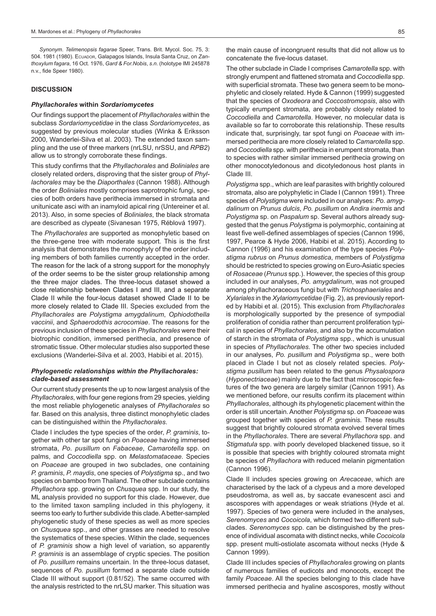*Synonym*. *Telimenopsis fagarae* Speer, Trans. Brit. Mycol. Soc. 75, 3: 504. 1981 (1980). Ecuador, Galapagos Islands, Insula Santa Cruz, on *Zanthoxylum fagara*, 16 Oct. 1976, *Gard & For.Nobis*, *s.n.* (holotype IMI 245878 n.v., fide Speer 1980).

#### **DISCUSSION**

#### *Phyllachorales* **within** *Sordariomycetes*

Our findings support the placement of *Phyllachorales* within the subclass *Sordariomycetidae* in the class *Sordariomycetes*, as suggested by previous molecular studies (Winka & Eriksson 2000, Wanderlei-Silva et al. 2003). The extended taxon sampling and the use of three markers (nrLSU, nrSSU, and *RPB2*) allow us to strongly corroborate these findings.

This study confirms that the *Phyllachorales* and *Boliniales* are closely related orders, disproving that the sister group of *Phyllachorales* may be the *Diaporthales* (Cannon 1988). Although the order *Boliniales* mostly comprises saprotrophic fungi, species of both orders have perithecia immersed in stromata and unitunicate asci with an inamyloid apical ring (Untereiner et al. 2013). Also, in some species of *Boliniales*, the black stromata are described as clypeate (Sivanesan 1975, Réblová 1997).

The *Phyllachorales* are supported as monophyletic based on the three-gene tree with moderate support. This is the first analysis that demonstrates the monophyly of the order including members of both families currently accepted in the order. The reason for the lack of a strong support for the monophyly of the order seems to be the sister group relationship among the three major clades. The three-locus dataset showed a close relationship between Clades I and III, and a separate Clade II while the four-locus dataset showed Clade II to be more closely related to Clade III. Species excluded from the *Phyllachorales* are *Polystigma amygdalinum*, *Ophiodothella vaccinii*, and *Sphaerodothis acrocomiae*. The reasons for the previous inclusion of these species in *Phyllachorales* were their biotrophic condition, immersed perithecia, and presence of stromatic tissue. Other molecular studies also supported these exclusions (Wanderlei-Silva et al. 2003, Habibi et al. 2015).

# *Phylogenetic relationships within the Phyllachorales: clade-based assessment*

Our current study presents the up to now largest analysis of the *Phyllachorales*, with four gene regions from 29 species, yielding the most reliable phylogenetic analyses of *Phyllachorales* so far. Based on this analysis, three distinct monophyletic clades can be distinguished within the *Phyllachorales*.

Clade I includes the type species of the order, *P. graminis*, together with other tar spot fungi on *Poaceae* having immersed stromata, *Po. pusillum* on *Fabaceae*, *Camarotella* spp. on palms, and *Coccodiella* spp. on *Melastomataceae*. Species on *Poaceae* are grouped in two subclades, one containing *P. graminis*, *P. maydis*, one species of *Polystigma* sp., and two species on bamboo from Thailand. The other subclade contains *Phyllachora* spp. growing on *Chusquea* spp. In our study, the ML analysis provided no support for this clade. However, due to the limited taxon sampling included in this phylogeny, it seems too early to further subdivide this clade. A better-sampled phylogenetic study of these species as well as more species on *Chusquea* spp., and other grasses are needed to resolve the systematics of these species. Within the clade, sequences of *P. graminis* show a high level of variation, so apparently *P. graminis* is an assemblage of cryptic species. The position of *Po. pusillum* remains uncertain. In the three-locus dataset, sequences of *Po. pusillum* formed a separate clade outside Clade III without support (0.81/52). The same occurred with the analysis restricted to the nrLSU marker. This situation was

the main cause of incongruent results that did not allow us to concatenate the five-locus dataset.

The other subclade in Clade I comprises *Camarotella* spp. with strongly erumpent and flattened stromata and *Coccodiella* spp. with superficial stromata. These two genera seem to be monophyletic and closely related. Hyde & Cannon (1999) suggested that the species of *Oxodeora* and *Coccostromopsis*, also with typically erumpent stromata, are probably closely related to *Coccodiella* and *Camarotella*. However, no molecular data is available so far to corroborate this relationship. These results indicate that, surprisingly, tar spot fungi on *Poaceae* with immersed perithecia are more closely related to *Camarotella* spp. and *Coccodiella* spp. with perithecia in erumpent stromata, than to species with rather similar immersed perithecia growing on other monocotyledonous and dicotyledonous host plants in Clade III.

*Polystigma* spp., which are leaf parasites with brightly coloured stromata, also are polyphyletic in Clade I (Cannon 1991). Three species of *Polystigma* were included in our analyses: *Po. amygdalinum* on *Prunus dulcis*, *Po. pusillum* on *Andira inermis* and *Polystigma* sp. on *Paspalum* sp. Several authors already suggested that the genus *Polystigma* is polymorphic, containing at least five well-defined assemblages of species (Cannon 1996, 1997, Pearce & Hyde 2006, Habibi et al. 2015). According to Cannon (1996) and his examination of the type species *Polystigma rubrus* on *Prunus domestica*, members of *Polystigma* should be restricted to species growing on Euro-Asiatic species of *Rosaceae* (*Prunus* spp.). However, the species of this group included in our analyses, *Po. amygdalinum*, was not grouped among phyllachoraceous fungi but with *Trichosphaeriales* and *Xylariales* in the *Xylariomycetidae* (Fig. 2), as previously reported by Habibi et al. (2015). This exclusion from *Phyllachorales* is morphologically supported by the presence of sympodial proliferation of conidia rather than percurrent proliferation typical in species of *Phyllachorales*, and also by the accumulation of starch in the stromata of *Polystigma* spp., which is unusual in species of *Phyllachorales*. The other two species included in our analyses, *Po. pusillum* and *Polystigma* sp., were both placed in Clade I but not as closely related species. *Polystigma pusillum* has been related to the genus *Physalospora* (*Hyponectriaceae*) mainly due to the fact that microscopic features of the two genera are largely similar (Cannon 1991). As we mentioned before, our results confirm its placement within *Phyllachorales*, although its phylogenetic placement within the order is still uncertain. Another *Polystigma* sp. on *Poaceae* was grouped together with species of *P. graminis*. These results suggest that brightly coloured stromata evolved several times in the *Phyllachorales*. There are several *Phyllachora* spp. and *Stigmatula* spp. with poorly developed blackened tissue, so it is possible that species with brightly coloured stromata might be species of *Phyllachora* with reduced melanin pigmentation (Cannon 1996).

Clade II includes species growing on *Arecaceae*, which are characterised by the lack of a clypeus and a more developed pseudostroma, as well as, by saccate evanescent asci and ascospores with appendages or weak striations (Hyde et al. 1997). Species of two genera were included in the analyses, *Serenomyces* and *Cocoicola*, which formed two different subclades. *Serenomyces* spp. can be distinguished by the presence of individual ascomata with distinct necks, while *Cocoicola* spp. present multi-ostiolate ascomata without necks (Hyde & Cannon 1999).

Clade III includes species of *Phyllachorales* growing on plants of numerous families of eudicots and monocots, except the family *Poaceae*. All the species belonging to this clade have immersed perithecia and hyaline ascospores, mostly without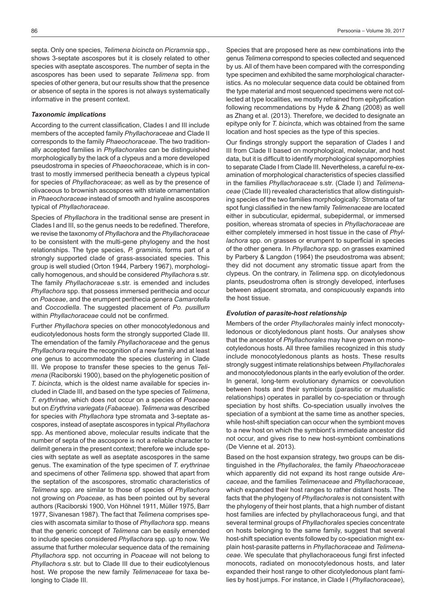septa. Only one species, *Telimena bicincta* on *Picramnia* spp., shows 3-septate ascospores but it is closely related to other species with aseptate ascospores. The number of septa in the ascospores has been used to separate *Telimena* spp. from species of other genera, but our results show that the presence or absence of septa in the spores is not always systematically informative in the present context.

# *Taxonomic implications*

According to the current classification, Clades I and III include members of the accepted family *Phyllachoraceae* and Clade II corresponds to the family *Phaeochoraceae*. The two traditionally accepted families in *Phyllachorales* can be distinguished morphologically by the lack of a clypeus and a more developed pseudostroma in species of *Phaeochoraceae*, which is in contrast to mostly immersed perithecia beneath a clypeus typical for species of *Phyllachoraceae*; as well as by the presence of olivaceous to brownish ascospores with striate ornamentation in *Phaeochoraceae* instead of smooth and hyaline ascospores typical of *Phyllachoraceae*.

Species of *Phyllachora* in the traditional sense are present in Clades I and III, so the genus needs to be redefined. Therefore, we revise the taxonomy of *Phyllachora* and the *Phyllachoraceae* to be consistent with the multi-gene phylogeny and the host relationships. The type species, *P. graminis*, forms part of a strongly supported clade of grass-associated species. This group is well studied (Orton 1944, Parbery 1967), morphologically homogenous, and should be considered *Phyllachora* s.str. The family *Phyllachoraceae* s.str. is emended and includes *Phyllachora* spp. that possess immersed perithecia and occur on *Poaceae*, and the erumpent perithecia genera *Camarotella* and *Coccodiella*. The suggested placement of *Po. pusillum* within *Phyllachoraceae* could not be confirmed.

Further *Phyllachora* species on other monocotyledonous and eudicotyledonous hosts form the strongly supported Clade III. The emendation of the family *Phyllachoraceae* and the genus *Phyllachora* require the recognition of a new family and at least one genus to accommodate the species clustering in Clade III. We propose to transfer these species to the genus *Telimena* (Raciborski 1900), based on the phylogenetic position of *T. bicincta*, which is the oldest name available for species included in Clade III, and based on the type species of *Telimena*, *T. erythrinae*, which does not occur on a species of *Poaceae* but on *Erythrina variegata* (*Fabaceae*). *Telimena* was described for species with *Phyllachora* type stromata and 3-septate ascospores, instead of aseptate ascospores in typical *Phyllachora* spp. As mentioned above, molecular results indicate that the number of septa of the ascospore is not a reliable character to delimit genera in the present context; therefore we include species with septate as well as aseptate ascospores in the same genus. The examination of the type specimen of *T. erythrinae*  and specimens of other *Telimena* spp. showed that apart from the septation of the ascospores, stromatic characteristics of *Telimena* spp. are similar to those of species of *Phyllachora* not growing on *Poaceae*, as has been pointed out by several authors (Raciborski 1900, Von Höhnel 1911, Müller 1975, Barr 1977, Sivanesan 1987). The fact that *Telimena* comprises species with ascomata similar to those of *Phyllachora* spp. means that the generic concept of *Telimena* can be easily emended to include species considered *Phyllachora* spp. up to now. We assume that further molecular sequence data of the remaining *Phyllachora* spp. not occurring in *Poaceae* will not belong to *Phyllachora* s.str. but to Clade III due to their eudicotylenous host. We propose the new family *Telimenaceae* for taxa belonging to Clade III.

Species that are proposed here as new combinations into the genus *Telimena* correspond to species collected and sequenced by us. All of them have been compared with the corresponding type specimen and exhibited the same morphological characteristics. As no molecular sequence data could be obtained from the type material and most sequenced specimens were not collected at type localities, we mostly refrained from epitypification following recommendations by Hyde & Zhang (2008) as well as Zhang et al. (2013). Therefore, we decided to designate an epitype only for *T. bicincta*, which was obtained from the same location and host species as the type of this species.

Our findings strongly support the separation of Clades I and III from Clade II based on morphological, molecular, and host data, but it is difficult to identify morphological synapomorphies to separate Clade I from Clade III. Nevertheless, a careful re-examination of morphological characteristics of species classified in the families *Phyllachoraceae* s.str. (Clade I) and *Telimenaceae* (Clade III) revealed characteristics that allow distinguishing species of the two families morphologically: Stromata of tar spot fungi classified in the new family *Telimenaceae* are located either in subcuticular, epidermal, subepidermal, or immersed position, whereas stromata of species in *Phyllachoraceae* are either completely immersed in host tissue in the case of *Phyllachora* spp. on grasses or erumpent to superficial in species of the other genera. In *Phyllachora* spp. on grasses examined by Parbery & Langdon (1964) the pseudostroma was absent; they did not document any stromatic tissue apart from the clypeus. On the contrary, in *Telimena* spp. on dicotyledonous plants, pseudostroma often is strongly developed, interfuses between adjacent stromata, and conspicuously expands into the host tissue.

### *Evolution of parasite-host relationship*

Members of the order *Phyllachorales* mainly infect monocotyledonous or dicotyledonous plant hosts. Our analyses show that the ancestor of *Phyllachorales* may have grown on monocotyledonous hosts. All three families recognized in this study include monocotyledonous plants as hosts. These results strongly suggest intimate relationships between *Phyllachorales* and monocotyledonous plants in the early evolution of the order. In general, long-term evolutionary dynamics or coevolution between hosts and their symbionts (parasitic or mutualistic relationships) operates in parallel by co-speciation or through speciation by host shifts. Co-speciation usually involves the speciation of a symbiont at the same time as another species, while host-shift speciation can occur when the symbiont moves to a new host on which the symbiont's immediate ancestor did not occur, and gives rise to new host-symbiont combinations (De Vienne et al. 2013).

Based on the host expansion strategy, two groups can be distinguished in the *Phyllachorales*, the family *Phaeochoraceae* which apparently did not expand its host range outside *Arecaceae*, and the families *Telimenaceae* and *Phyllachoraceae*, which expanded their host ranges to rather distant hosts. The facts that the phylogeny of *Phyllachorales* is not consistent with the phylogeny of their host plants, that a high number of distant host families are infected by phyllachoraceous fungi, and that several terminal groups of *Phyllachorales* species concentrate on hosts belonging to the same family, suggest that several host-shift speciation events followed by co-speciation might explain host-parasite patterns in *Phyllachoraceae* and *Telimenaceae*. We speculate that phyllachoraceous fungi first infected monocots, radiated on monocotyledonous hosts, and later expanded their host range to other dicotyledonous plant families by host jumps. For instance, in Clade I (*Phyllachoraceae*),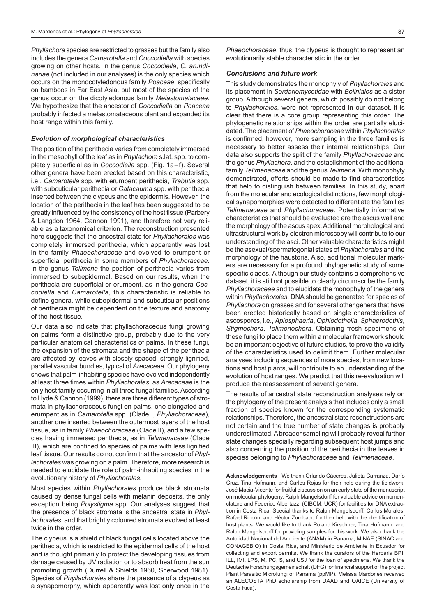*Phyllachora* species are restricted to grasses but the family also includes the genera *Camarotella* and *Coccodiella* with species growing on other hosts. In the genus *Coccodiella*, *C. arundinariae* (not included in our analyses) is the only species which occurs on the monocotyledonous family *Poaceae*, specifically on bamboos in Far East Asia, but most of the species of the genus occur on the dicotyledonous family *Melastomataceae*. We hypothesize that the ancestor of *Coccodiella* on *Poaceae* probably infected a melastomataceous plant and expanded its host range within this family.

# *Evolution of morphological characteristics*

The position of the perithecia varies from completely immersed in the mesophyll of the leaf as in *Phyllachora* s.lat. spp. to completely superficial as in *Coccodiella* spp. (Fig. 1a–f). Several other genera have been erected based on this characteristic, i.e., *Camarotella* spp. with erumpent perithecia, *Trabutia* spp. with subcuticular perithecia or *Catacauma* spp. with perithecia inserted between the clypeus and the epidermis. However, the location of the perithecia in the leaf has been suggested to be greatly influenced by the consistency of the host tissue (Parbery & Langdon 1964, Cannon 1991), and therefore not very reliable as a taxonomical criterion. The reconstruction presented here suggests that the ancestral state for *Phyllachorales* was completely immersed perithecia, which apparently was lost in the family *Phaeochoraceae* and evolved to erumpent or superficial perithecia in some members of *Phyllachoraceae*. In the genus *Telimena* the position of perithecia varies from immersed to subepidermal. Based on our results, when the perithecia are superficial or erumpent, as in the genera *Coccodiella* and *Camarotella*, this characteristic is reliable to define genera, while subepidermal and subcuticular positions of perithecia might be dependent on the texture and anatomy of the host tissue.

Our data also indicate that phyllachoraceous fungi growing on palms form a distinctive group, probably due to the very particular anatomical characteristics of palms. In these fungi, the expansion of the stromata and the shape of the perithecia are affected by leaves with closely spaced, strongly lignified, parallel vascular bundles, typical of *Arecaceae*. Our phylogeny shows that palm-inhabiting species have evolved independently at least three times within *Phyllachorales*, as *Arecaceae* is the only host family occurring in all three fungal families. According to Hyde & Cannon (1999), there are three different types of stromata in phyllachoraceous fungi on palms, one elongated and erumpent as in *Camarotella* spp. (Clade I, *Phyllachoraceae*), another one inserted between the outermost layers of the host tissue, as in family *Phaeochoraceae* (Clade II), and a few species having immersed perithecia, as in *Telimenaceae* (Clade III), which are confined to species of palms with less lignified leaf tissue. Our results do not confirm that the ancestor of *Phyllachorales* was growing on a palm. Therefore, more research is needed to elucidate the role of palm-inhabiting species in the evolutionary history of *Phyllachorales*.

Most species within *Phyllachorales* produce black stromata caused by dense fungal cells with melanin deposits, the only exception being *Polystigma* spp. Our analyses suggest that the presence of black stromata is the ancestral state in *Phyllachorales*, and that brightly coloured stromata evolved at least twice in the order.

The clypeus is a shield of black fungal cells located above the perithecia, which is restricted to the epidermal cells of the host and is thought primarily to protect the developing tissues from damage caused by UV radiation or to absorb heat from the sun promoting growth (Durrell & Shields 1960, Sherwood 1981). Species of *Phyllachorales* share the presence of a clypeus as a synapomorphy, which apparently was lost only once in the

*Phaeochoraceae*, thus, the clypeus is thought to represent an evolutionarily stable characteristic in the order.

### *Conclusions and future work*

This study demonstrates the monophyly of *Phyllachorales* and its placement in *Sordariomycetidae* with *Boliniales* as a sister group. Although several genera, which possibly do not belong to *Phyllachorales*, were not represented in our dataset, it is clear that there is a core group representing this order. The phylogenetic relationships within the order are partially elucidated. The placement of *Phaeochoraceae* within *Phyllachorales* is confirmed, however, more sampling in the three families is necessary to better assess their internal relationships. Our data also supports the split of the family *Phyllachoraceae* and the genus *Phyllachora*, and the establishment of the additional family *Telimenaceae* and the genus *Telimena*. With monophyly demonstrated, efforts should be made to find characteristics that help to distinguish between families. In this study, apart from the molecular and ecological distinctions, few morphological synapomorphies were detected to differentiate the families *Telimenaceae* and *Phyllachoraceae*. Potentially informative characteristics that should be evaluated are the ascus wall and the morphology of the ascus apex. Additional morphological and ultrastructural work by electron microscopy will contribute to our understanding of the asci. Other valuable characteristics might be the asexual/spermatogonial states of *Phyllachorales* and the morphology of the haustoria. Also, additional molecular markers are necessary for a profound phylogenetic study of some specific clades. Although our study contains a comprehensive dataset, it is still not possible to clearly circumscribe the family *Phyllachoraceae* and to elucidate the monophyly of the genera within *Phyllachorales*. DNA should be generated for species of *Phyllachora* on grasses and for several other genera that have been erected historically based on single characteristics of ascospores, i.e., *Apiosphaeria*, *Ophiodothella*, *Sphaerodothis*, *Stigmochora*, *Telimenochora*. Obtaining fresh specimens of these fungi to place them within a molecular framework should be an important objective of future studies, to prove the validity of the characteristics used to delimit them. Further molecular analyses including sequences of more species, from new locations and host plants, will contribute to an understanding of the evolution of host ranges. We predict that this re-evaluation will produce the reassessment of several genera.

The results of ancestral state reconstruction analyses rely on the phylogeny of the present analysis that includes only a small fraction of species known for the corresponding systematic relationships. Therefore, the ancestral state reconstructions are not certain and the true number of state changes is probably underestimated. A broader sampling will probably reveal further state changes specially regarding subsequent host jumps and also concerning the position of the perithecia in the leaves in species belonging to *Phyllachoraceae* and *Telimenaceae*.

**Acknowledgements** We thank Orlando Cáceres, Julieta Carranza, Darío Cruz, Tina Hofmann, and Carlos Rojas for their help during the fieldwork, José Macia-Vicente for fruitful discussion on an early state of the manuscript on molecular phylogeny, Ralph Mangelsdorff for valuable advice on nomenclature and Federico Albertazzi (CIBCM, UCR) for facilities for DNA extraction in Costa Rica. Special thanks to Ralph Mangelsdorff, Carlos Morales, Rafael Rincón, and Héctor Zumbado for their help with the identification of host plants. We would like to thank Roland Kirschner, Tina Hofmann, and Ralph Mangelsdorff for providing samples for this work. We also thank the Autoridad Nacional del Ambiente (ANAM) in Panama, MINAE (SINAC and CONAGEBIO) in Costa Rica, and Ministerio de Ambiente in Ecuador for collecting and export permits. We thank the curators of the Herbaria BPI, ILL, IMI, LPS, M, PC, S, and USJ for the loan of specimens. We thank the Deutsche Forschungsgemeinschaft (DFG) for financial support of the project Plant Parasitic Microfungi of Panama (ppMP). Melissa Mardones received an ALECOSTA PhD scholarship from DAAD and OAICE (University of Costa Rica).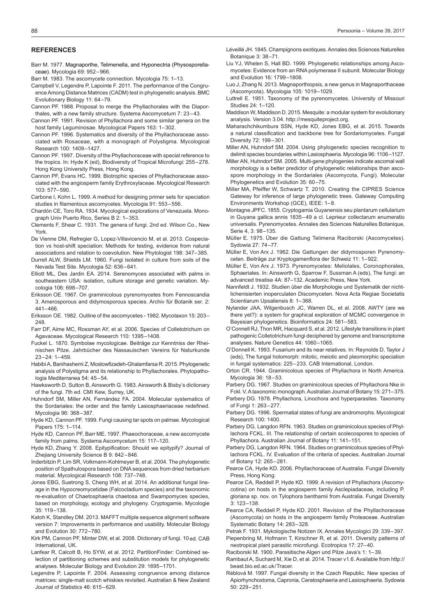#### **REFERENCES**

- Barr M. 1977. Magnaporthe, Telimenella, and Hyponectria (Physosporellaceae). Mycologia 69: 952–966.
- Barr M. 1983. The ascomycete connection. Mycologia 75: 1–13.
- Campbell V, Legendre P, Lapointe F. 2011. The performance of the Congruence Among Distance Matrices (CADM) test in phylogenetic analysis. BMC Evolutionary Biology 11: 64–79.
- Cannon PF. 1988. Proposal to merge the Phyllachorales with the Diaporthales, with a new family structure. Systema Ascomycetum 7: 23–43.
- Cannon PF. 1991. Revision of Phyllachora and some similar genera on the host family Leguminosae. Mycological Papers 163: 1–302.
- Cannon PF. 1996. Systematics and diversity of the Phyllachoraceae associated with Rosaceae, with a monograph of Polystigma. Mycological Research 100: 1409–1427.
- Cannon PF. 1997. Diversity of the Phyllachoraceae with special reference to the tropics. In: Hyde K (ed), Biodiversity of Tropical Microfungi: 255–278. Hong Kong University Press, Hong Kong.
- Cannon PF, Evans HC. 1999. Biotrophic species of Phyllachoraceae associated with the angiosperm family Erythroxylaceae. Mycological Research 103: 577–590.
- Carbone I, Kohn L. 1999. A method for designing primer sets for speciation studies in filamentous ascomycetes. Mycologia 91: 553–556.
- Chardón CE, Toro RA. 1934. Mycological explorations of Venezuela. Monograph Univ Puerto Rico, Series B 2: 1–353.
- Clements F, Shear C. 1931. The genera of fungi. 2nd ed. Wilson Co., New York.
- De Vienne DM, Refregier G, Lopez-Villavicencio M, et al. 2013. Cospeciation vs host-shift speciation: Methods for testing, evidence from natural associations and relation to coevolution. New Phytologist 198: 347–385.
- Durrell ALW, Shields LM. 1960. Fungi isolated in culture from soils of the Nevada Test Site. Mycologia 52: 636–641.
- Elliott ML, Des Jardin EA. 2014. Serenomyces associated with palms in southeastern USA: isolation, culture storage and genetic variation. Mycologia 106: 698–707.
- Eriksson OE. 1967. On graminicolous pyrenomycetes from Fennoscandia 3. Amerosporous and didymosporous species. Archiv für Botanik ser. 2: 441–466.
- Eriksson OE. 1982. Outline of the ascomycetes 1982. Mycotaxon 15: 203– 248.
- Farr DF, Aime MC, Rossman AY, et al. 2006. Species of Colletotrichum on Agavaceae. Mycological Research 110: 1395–1408.
- Fuckel L. 1870. Symbolae mycologicae. Beiträge zur Kenntniss der Rheinischen Pilze. Jahrbücher des Nassauischen Vereins für Naturkunde 23–24: 1–459.
- Habibi A, Banihashemi Z, Mostowfizadeh-Ghalamfarsa R. 2015. Phylogenetic analysis of Polystigma and its relationship to Phyllachorales. Phytopathologia Mediterranea 54: 45–54.
- Hawksworth D, Sutton B, Ainsworth G. 1983. Ainsworth & Bisby's dictionary of the fungi. 7th ed. CMI Kew, Surrey, UK.
- Huhndorf SM, Miller AN, Fernández FA. 2004. Molecular systematics of the Sordariales: the order and the family Lasiosphaeriaceae redefined. Mycologia 96: 368–387.
- Hyde KD, Cannon PF. 1999. Fungi causing tar spots on palmae. Mycological Papers 175: 1–114.
- Hyde KD, Cannon PF, Barr ME. 1997. Phaeochoraceae, a new ascomycete family from palms. Systema Ascomycetum 15: 117–120.
- Hyde KD, Zhang Y. 2008. Epitypification: Should we epitypify? Journal of Zhejiang University Science B 9: 842–846.
- Inderbitzin P, Lim SR, Volkmann-Kohlmeyer B, et al. 2004. The phylogenetic position of Spathulospora based on DNA sequences from dried herbarium material. Mycological Research 108: 737–748.
- Jones EBG, Suetrong S, Cheng WH, et al. 2014. An additional fungal lineage in the Hypocreomycetidae (Falcocladium species) and the taxonomic re-evaluation of Chaetosphaeria chaetosa and Swampomyces species, based on morphology, ecology and phylogeny. Cryptogamie, Mycologie 35: 119–138.
- Katoh K, Standley DM. 2013. MAFFT multiple sequence alignment software version 7: Improvements in performance and usability. Molecular Biology and Evolution 30: 772–780.
- Kirk PM, Cannon PF, Minter DW, et al. 2008. Dictionary of fungi. 10ed. CAB International, UK.
- Lanfear R, Calcott B, Ho SYW, et al. 2012. PartitionFinder: Combined selection of partitioning schemes and substitution models for phylogenetic analyses. Molecular Biology and Evolution 29: 1695–1701.
- Legendre P, Lapointe F. 2004. Assessing congruence among distance matrices: single-malt scotch whiskies revisited. Australian & New Zealand Journal of Statistics 46: 615–629.
- Léveillé JH. 1845. Champignons exotiques. Annales des Sciences Naturelles Botanique 3: 38–71.
- Liu YJ, Whelen S, Hall BD. 1999. Phylogenetic relationships among Ascomycetes: Evidence from an RNA polymerase II subunit. Molecular Biology and Evolution 16: 1799–1808.
- Luo J, Zhang N. 2013. Magnaporthiopsis, a new genus in Magnaporthaceae (Ascomycota). Mycologia 105: 1019–1029.
- Luttrell E. 1951. Taxonomy of the pyrenomycetes. University of Missouri Studies 24: 1–120.
- Maddison W, Maddison D. 2015. Mesquite: a modular system for evolutionary analysis. Version 3.04. http://mesquiteproject.org.
- Maharachchikumbura SSN, Hyde KD, Jones EBG, et al. 2015. Towards a natural classification and backbone tree for Sordariomycetes. Fungal Diversity 72: 199–301.
- Miller AN, Huhndorf SM. 2004. Using phylogenetic species recognition to delimit species boundaries within Lasiosphaeria. Mycologia 96: 1106–1127.
- Miller AN, Huhndorf SM. 2005. Multi-gene phylogenies indicate ascomal wall morphology is a better predictor of phylogenetic relationships than ascospore morphology in the Sordariales (Ascomycota, Fungi). Molecular Phylogenetics and Evolution 35: 60–75.
- Miller MA, Pfeiffer W, Schwartz T. 2010. Creating the CIPRES Science Gateway for inference of large phylogenetic trees. Gateway Computing Environments Workshop (GCE), IEEE: 1–8.
- Montagne JPFC. 1855. Cryptogamia Guyanensis seu plantarum cellularium in Guyana gallica annis 1835–49 a cl. Leprieur collectarum enumeratio universalis. Pyrenomycetes. Annales des Sciences Naturelles Botanique, Serie 4, 3: 98–135.
- Müller E. 1975. Über die Gattung Telimena Raciborski (Ascomycetes). Sydowia 27: 74–77.
- Müller E, Von Arx J. 1962. Die Gattungen der didymosporen Pyrenomyceten. Beiträge zur Kryptogamenflora der Schweiz 11: 1–922.
- Müller E, Von Arx J. 1973. Pyrenomycetes: Meliolales, Coronophorales, Sphaeriales. In: Ainsworth G, Sparrow F, Sussman A (eds), The fungi: an advanced treatise 4A: 87–132. Academic Press, New York.
- Nannfeldt J. 1932. Studien über die Morphologie und Systematik der nichtlichenisierten inoperculaten Discomyceten. Nova Acta Regiae Societatis Scientiarum Upsaliensis 8: 1–368.
- Nylander JAA, Wilgenbusch JC, Warren DL, et al. 2008. AWTY (are we there yet?): a system for graphical exploration of MCMC convergence in Bayesian phylogenetics. Bioinformatics 24: 581–583.
- O'Connell RJ, Thon MR, Hacquard S, et al. 2012. Lifestyle transitions in plant pathogenic Colletotrichum fungi deciphered by genome and transcriptome analyses. Nature Genetics 44: 1060–1065.
- O'Donnell K. 1993. Fusarium and its near relatives. In: Reynolds D, Taylor J (eds), The fungal holomorph: mitotic, meiotic and pleomorphic speciation in fungal systematics: 225–233. CAB International, London.
- Orton CR. 1944. Graminicolous species of Phyllachora in North America. Mycologia 36: 18–53.
- Parbery DG. 1967. Studies on graminicolous species of Phyllachora Nke in Fckl. V. A taxonomic monograph. Australian Journal of Botany 15: 271–375.
- Parbery DG. 1978. Phyllachora, Linochora and hyperparasites. Taxonomy of Fungi 1: 263–277.
- Parbery DG. 1996. Spermatial states of fungi are andromorphs. Mycological Research 100: 1400.
- Parbery DG, Langdon RFN. 1963. Studies on graminicolous species of Phyllachora FCKL. III. The relationship of certain scolecospores to species of Phyllachora. Australian Journal of Botany 11: 141–151.
- Parbery DG, Langdon RFN. 1964. Studies on graminicolous species of Phyllachora FCKL. IV. Evaluation of the criteria of species. Australian Journal of Botany 12: 265–281.
- Pearce CA, Hyde KD. 2006. Phyllachoraceae of Australia. Fungal Diversity Press, Hong Kong.
- Pearce CA, Reddell P, Hyde KD. 1999. A revision of Phyllachora (Ascomycotina) on hosts in the angiosperm family Asclepiadaceae, including P. gloriana sp. nov. on Tylophora benthamii from Australia. Fungal Diversity 3: 123–138.
- Pearce CA, Reddell P, Hyde KD. 2001. Revision of the Phyllachoraceae (Ascomycota) on hosts in the angiosperm family Proteaceae. Australian Systematic Botany 14: 283–328.
- Petrak F. 1931. Mykologische Notizen IX. Annales Mycologici 29: 339–397. Piepenbring M, Hofmann T, Kirschner R, et al. 2011. Diversity patterns of
- neotropical plant parasitic microfungi. Ecotropica 17: 27–40. Raciborski M. 1900. Parasitische Algen und Pilze Java's 1: 1–39.
- Rambaut A, Suchard M, Xie D, et al. 2014. Tracer v1.6. Available from http:// beast.bio.ed.ac.uk/Tracer.
- Réblová M. 1997. Fungal diversity in the Czech Republic. New species of Apiorhynchostoma, Capronia, Ceratosphaeria and Lasiosphaeria. Sydowia 50: 229–251.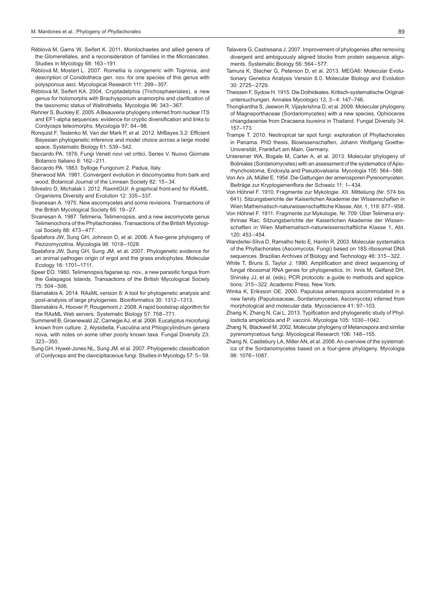- Réblová M, Gams W, Seifert K. 2011. Monilochaetes and allied genera of the Glomerellales, and a reconsideration of families in the Microascales. Studies in Mycology 68: 163–191.
- Réblová M, Mostert L. 2007. Romellia is congeneric with Togninia, and description of Conidiotheca gen. nov. for one species of this genus with polysporous asci. Mycological Research 111: 299–307.
- Réblová M, Seifert KA. 2004. Cryptadelphia (Trichosphaeriales), a new genus for holomorphs with Brachysporium anamorphs and clarification of the taxonomic status of Wallrothiella. Mycologia 96: 343–367.
- Rehner S, Buckley E. 2005. A Beauveria phylogeny inferred from nuclear ITS and EF1-alpha sequences: evidence for cryptic diversification and links to Cordyceps teleomorphs. Mycologia 97: 84–98.
- Ronquist F, Teslenko M, Van der Mark P, et al. 2012. MrBayes 3.2: Efficient Bayesian phylogenetic inference and model choice across a large model space. Systematic Biology 61: 539–542.
- Saccardo PA. 1876. Fungi Veneti novi vel critici. Series V. Nuovo Giornale Botanico Italiano 8: 162–211.
- Saccardo PA. 1883. Sylloge Fungorum 2. Padua, Italy.
- Sherwood MA. 1981. Convergent evolution in discomycetes from bark and wood. Botanical Journal of the Linnean Society 82: 15–34.
- Silvestro D, Michalak I. 2012. RaxmlGUI: A graphical front-end for RAxML. Organisms Diversity and Evolution 12: 335–337.
- Sivanesan A. 1975. New ascomycetes and some revisions. Transactions of the British Mycological Society 65: 19–27.
- Sivanesan A. 1987. Telimena, Telimenopsis, and a new ascomycete genus Telimenochora of the Phyllachorales. Transactions of the British Mycological Society 88: 473–477.
- Spatafora JW, Sung GH, Johnson D, et al. 2006. A five-gene phylogeny of Pezizomycotina. Mycologia 98: 1018–1028.
- Spatafora JW, Sung GH, Sung JM, et al. 2007. Phylogenetic evidence for an animal pathogen origin of ergot and the grass endophytes. Molecular Ecology 16: 1701–1711.
- Speer EO. 1980. Telimenopsis fagarae sp. nov., a new parasitic fungus from the Galapagos Islands. Transactions of the British Mycological Society 75: 504–506.
- Stamatakis A. 2014. RAxML version 8: A tool for phylogenetic analysis and post-analysis of large phylogenies. Bioinformatics 30: 1312–1313.
- Stamatakis A, Hoover P, Rougemont J. 2008. A rapid bootstrap algorithm for the RAxML Web servers. Systematic Biology 57: 758–771.
- Summerell B, Groenewald JZ, Carnegie AJ, et al. 2006. Eucalyptus microfungi known from culture. 2. Alysidiella, Fusculina and Phlogicylindrium genera nova, with notes on some other poorly known taxa. Fungal Diversity 23: 323–350.
- Sung GH, Hywel-Jones NL, Sung JM, et al. 2007. Phylogenetic classification of Cordyceps and the clavicipitaceous fungi. Studies in Mycology 57: 5–59.
- Talavera G, Castresana J. 2007. Improvement of phylogenies after removing divergent and ambiguously aligned blocks from protein sequence alignments. Systematic Biology 56: 564–577.
- Tamura K, Stecher G, Peterson D, et al. 2013. MEGA6: Molecular Evolutionary Genetics Analysis Version 6.0. Molecular Biology and Evolution 30: 2725–2729.
- Theissen F, Sydow H. 1915. Die Dothideales. Kritisch-systematische Originaluntersuchungen. Annales Mycologici 13, 3–4: 147–746.
- Thongkantha S, Jeewon R, Vijaykrishna D, et al. 2009. Molecular phylogeny of Magnaporthaceae (Sordariomycetes) with a new species, Ophioceras chiangdaoense from Dracaena loureiroi in Thailand. Fungal Diversity 34: 157–173.
- Trampe T. 2010. Neotropical tar spot fungi: exploration of Phyllachorales in Panama. PhD thesis, Biowissenschaften, Johann Wolfgang Goethe-Universität, Frankfurt am Main, Germany.
- Untereiner WA, Bogale M, Carter A, et al. 2013. Molecular phylogeny of Boliniales (Sordariomycetes) with an assessment of the systematics of Apiorhynchostoma, Endoxyla and Pseudovalsaria. Mycologia 105: 564–588.
- Von Arx JA, Müller E. 1954. Die Gattungen der amerosporen Pyrenomyceten. Beiträge zur Kryptogamenflora der Schweiz 11: 1–434.
- Von Höhnel F. 1910. Fragmente zur Mykologie: XII. Mitteilung (Nr. 574 bis 641). Sitzungsberichte der Kaiserlichen Akademie der Wissenschaften in Wien Mathematisch-naturwissenschaftliche Klasse, Abt. 1, 119: 877–958.
- Von Höhnel F. 1911. Fragmente zur Mykologie, Nr. 709: Über Telimena erythrinae Rac. Sitzungsberichte der Kaiserlichen Akademie der Wissenschaften in Wien Mathematisch-naturwissenschaftliche Klasse 1, Abt. 120: 453–454.
- Wanderlei-Silva D, Ramalho Neto E, Hanlin R. 2003. Molecular systematics of the Phyllachorales (Ascomycota, Fungi) based on 18S ribosomal DNA sequences. Brazilian Archives of Biology and Technology 46: 315–322.
- White T, Bruns S, Taylor J. 1990. Amplification and direct sequencing of fungal ribosomal RNA genes for phylogenetics. In: Innis M, Gelfand DH, Sninsky JJ, et al. (eds), PCR protocols: a guide to methods and applications: 315–322. Academic Press, New York.
- Winka K, Eriksson OE. 2000. Papulosa amerospora accommodated in a new family (Papulosaceae, Sordariomycetes, Ascomycota) inferred from morphological and molecular data. Mycoscience 41: 97–103.
- Zhang K, Zhang N, Cai L. 2013. Typification and phylogenetic study of Phyllosticta ampelicida and P. vaccinii. Mycologia 105: 1030–1042.
- Zhang N, Blackwell M. 2002. Molecular phylogeny of Melanospora and similar pyrenomycetous fungi. Mycological Research 106: 148–155.
- Zhang N, Castlebury LA, Miller AN, et al. 2006. An overview of the systematics of the Sordariomycetes based on a four-gene phylogeny. Mycologia 98: 1076–1087.